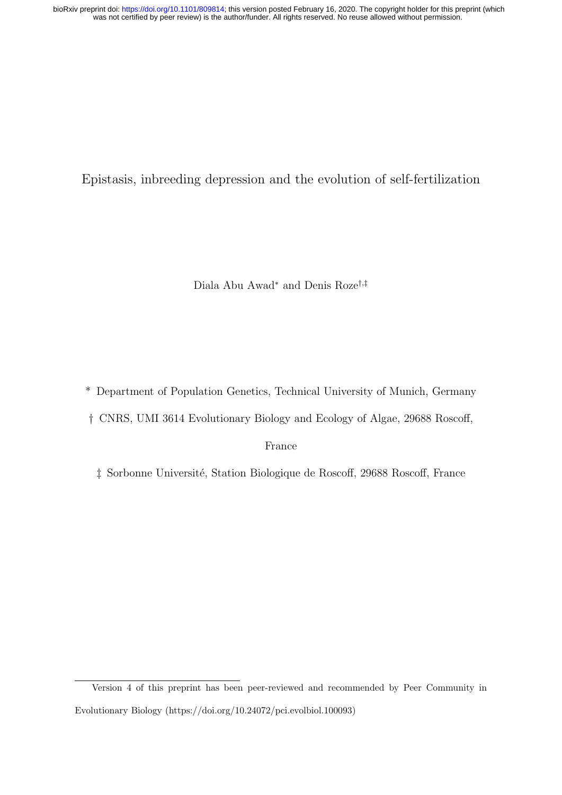was not certified by peer review) is the author/funder. All rights reserved. No reuse allowed without permission. bioRxiv preprint doi: [https://doi.org/10.1101/809814;](https://doi.org/10.1101/809814) this version posted February 16, 2020. The copyright holder for this preprint (which

Epistasis, inbreeding depression and the evolution of self-fertilization

Diala Abu Awad<sup>∗</sup> and Denis Roze†,‡

\* Department of Population Genetics, Technical University of Munich, Germany

† CNRS, UMI 3614 Evolutionary Biology and Ecology of Algae, 29688 Roscoff,

France

 $\ddagger$  Sorbonne Université, Station Biologique de Roscoff, 29688 Roscoff, France

Version 4 of this preprint has been peer-reviewed and recommended by Peer Community in Evolutionary Biology (https://doi.org/10.24072/pci.evolbiol.100093)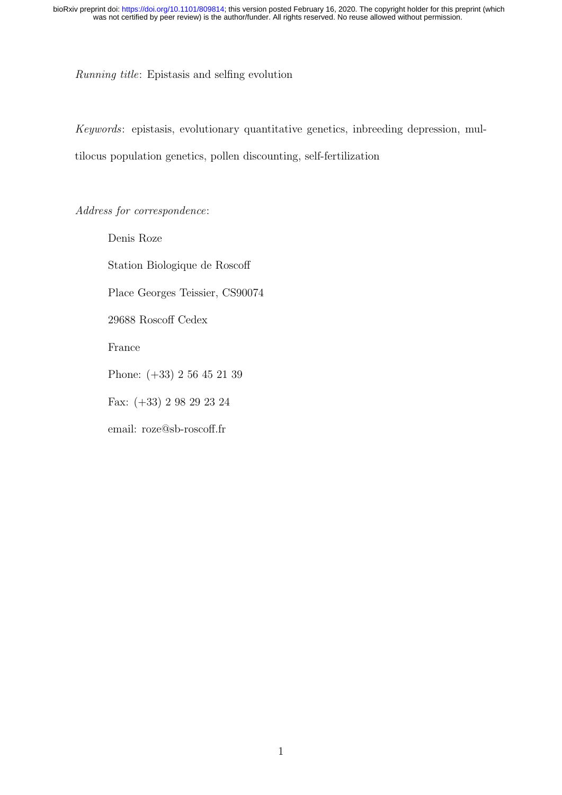Running title: Epistasis and selfing evolution

Keywords: epistasis, evolutionary quantitative genetics, inbreeding depression, multilocus population genetics, pollen discounting, self-fertilization

Address for correspondence:

Denis Roze Station Biologique de Roscoff Place Georges Teissier, CS90074 29688 Roscoff Cedex France Phone: (+33) 2 56 45 21 39 Fax: (+33) 2 98 29 23 24 email: roze@sb-roscoff.fr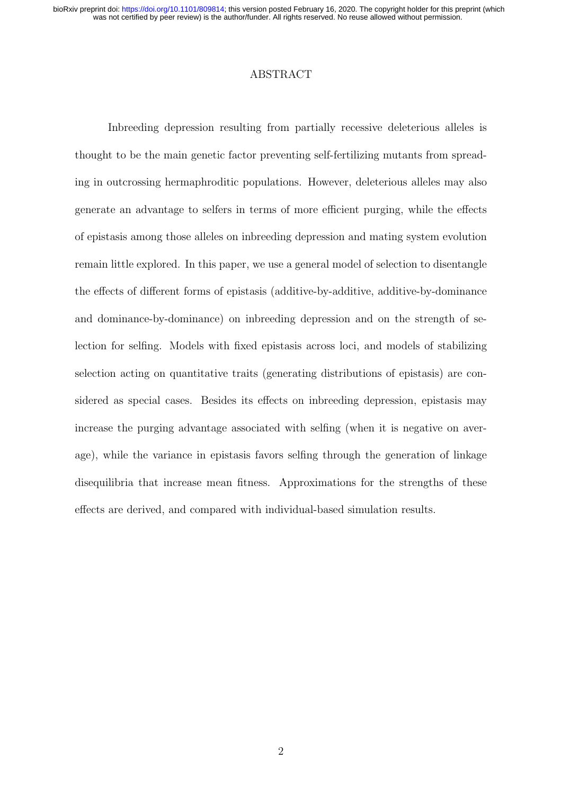was not certified by peer review) is the author/funder. All rights reserved. No reuse allowed without permission. bioRxiv preprint doi: [https://doi.org/10.1101/809814;](https://doi.org/10.1101/809814) this version posted February 16, 2020. The copyright holder for this preprint (which

# ABSTRACT

Inbreeding depression resulting from partially recessive deleterious alleles is thought to be the main genetic factor preventing self-fertilizing mutants from spreading in outcrossing hermaphroditic populations. However, deleterious alleles may also generate an advantage to selfers in terms of more efficient purging, while the effects of epistasis among those alleles on inbreeding depression and mating system evolution remain little explored. In this paper, we use a general model of selection to disentangle the effects of different forms of epistasis (additive-by-additive, additive-by-dominance and dominance-by-dominance) on inbreeding depression and on the strength of selection for selfing. Models with fixed epistasis across loci, and models of stabilizing selection acting on quantitative traits (generating distributions of epistasis) are considered as special cases. Besides its effects on inbreeding depression, epistasis may increase the purging advantage associated with selfing (when it is negative on average), while the variance in epistasis favors selfing through the generation of linkage disequilibria that increase mean fitness. Approximations for the strengths of these effects are derived, and compared with individual-based simulation results.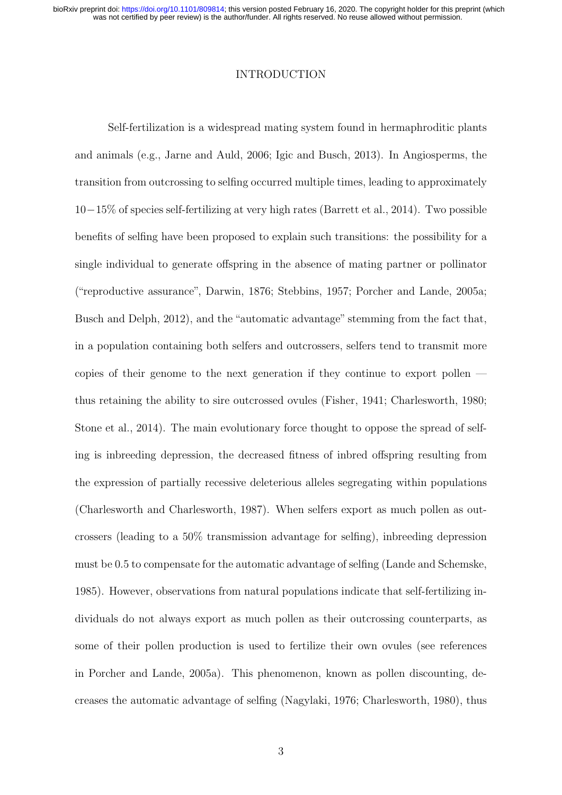was not certified by peer review) is the author/funder. All rights reserved. No reuse allowed without permission. bioRxiv preprint doi: [https://doi.org/10.1101/809814;](https://doi.org/10.1101/809814) this version posted February 16, 2020. The copyright holder for this preprint (which

# INTRODUCTION

Self-fertilization is a widespread mating system found in hermaphroditic plants and animals (e.g., Jarne and Auld, 2006; Igic and Busch, 2013). In Angiosperms, the transition from outcrossing to selfing occurred multiple times, leading to approximately 10−15% of species self-fertilizing at very high rates (Barrett et al., 2014). Two possible benefits of selfing have been proposed to explain such transitions: the possibility for a single individual to generate offspring in the absence of mating partner or pollinator ("reproductive assurance", Darwin, 1876; Stebbins, 1957; Porcher and Lande, 2005a; Busch and Delph, 2012), and the "automatic advantage" stemming from the fact that, in a population containing both selfers and outcrossers, selfers tend to transmit more copies of their genome to the next generation if they continue to export pollen thus retaining the ability to sire outcrossed ovules (Fisher, 1941; Charlesworth, 1980; Stone et al., 2014). The main evolutionary force thought to oppose the spread of selfing is inbreeding depression, the decreased fitness of inbred offspring resulting from the expression of partially recessive deleterious alleles segregating within populations (Charlesworth and Charlesworth, 1987). When selfers export as much pollen as outcrossers (leading to a 50% transmission advantage for selfing), inbreeding depression must be 0.5 to compensate for the automatic advantage of selfing (Lande and Schemske, 1985). However, observations from natural populations indicate that self-fertilizing individuals do not always export as much pollen as their outcrossing counterparts, as some of their pollen production is used to fertilize their own ovules (see references in Porcher and Lande, 2005a). This phenomenon, known as pollen discounting, decreases the automatic advantage of selfing (Nagylaki, 1976; Charlesworth, 1980), thus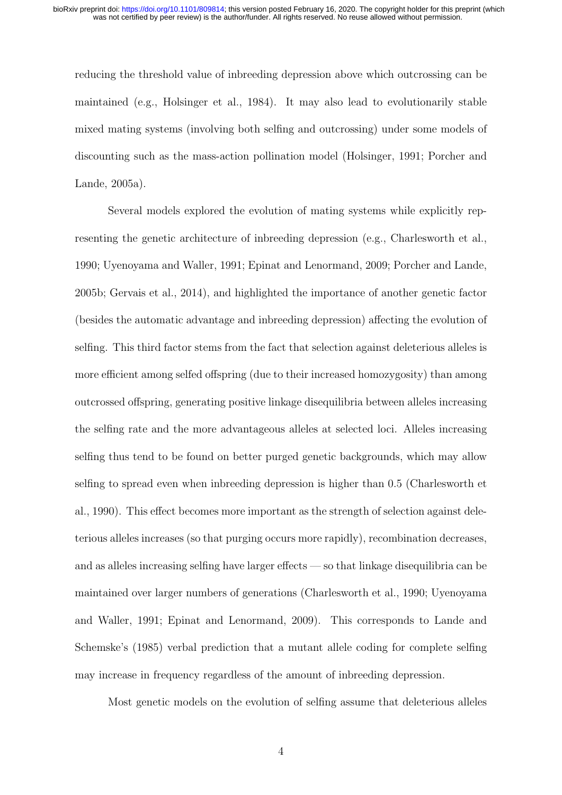reducing the threshold value of inbreeding depression above which outcrossing can be maintained (e.g., Holsinger et al., 1984). It may also lead to evolutionarily stable mixed mating systems (involving both selfing and outcrossing) under some models of discounting such as the mass-action pollination model (Holsinger, 1991; Porcher and Lande, 2005a).

Several models explored the evolution of mating systems while explicitly representing the genetic architecture of inbreeding depression (e.g., Charlesworth et al., 1990; Uyenoyama and Waller, 1991; Epinat and Lenormand, 2009; Porcher and Lande, 2005b; Gervais et al., 2014), and highlighted the importance of another genetic factor (besides the automatic advantage and inbreeding depression) affecting the evolution of selfing. This third factor stems from the fact that selection against deleterious alleles is more efficient among selfed offspring (due to their increased homozygosity) than among outcrossed offspring, generating positive linkage disequilibria between alleles increasing the selfing rate and the more advantageous alleles at selected loci. Alleles increasing selfing thus tend to be found on better purged genetic backgrounds, which may allow selfing to spread even when inbreeding depression is higher than 0.5 (Charlesworth et al., 1990). This effect becomes more important as the strength of selection against deleterious alleles increases (so that purging occurs more rapidly), recombination decreases, and as alleles increasing selfing have larger effects — so that linkage disequilibria can be maintained over larger numbers of generations (Charlesworth et al., 1990; Uyenoyama and Waller, 1991; Epinat and Lenormand, 2009). This corresponds to Lande and Schemske's (1985) verbal prediction that a mutant allele coding for complete selfing may increase in frequency regardless of the amount of inbreeding depression.

Most genetic models on the evolution of selfing assume that deleterious alleles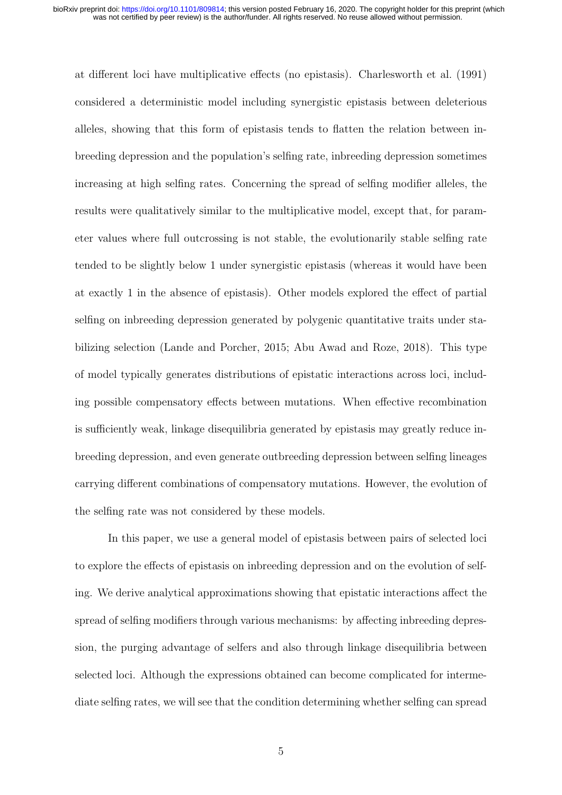at different loci have multiplicative effects (no epistasis). Charlesworth et al. (1991) considered a deterministic model including synergistic epistasis between deleterious alleles, showing that this form of epistasis tends to flatten the relation between inbreeding depression and the population's selfing rate, inbreeding depression sometimes increasing at high selfing rates. Concerning the spread of selfing modifier alleles, the results were qualitatively similar to the multiplicative model, except that, for parameter values where full outcrossing is not stable, the evolutionarily stable selfing rate tended to be slightly below 1 under synergistic epistasis (whereas it would have been at exactly 1 in the absence of epistasis). Other models explored the effect of partial selfing on inbreeding depression generated by polygenic quantitative traits under stabilizing selection (Lande and Porcher, 2015; Abu Awad and Roze, 2018). This type of model typically generates distributions of epistatic interactions across loci, including possible compensatory effects between mutations. When effective recombination is sufficiently weak, linkage disequilibria generated by epistasis may greatly reduce inbreeding depression, and even generate outbreeding depression between selfing lineages carrying different combinations of compensatory mutations. However, the evolution of the selfing rate was not considered by these models.

In this paper, we use a general model of epistasis between pairs of selected loci to explore the effects of epistasis on inbreeding depression and on the evolution of selfing. We derive analytical approximations showing that epistatic interactions affect the spread of selfing modifiers through various mechanisms: by affecting inbreeding depression, the purging advantage of selfers and also through linkage disequilibria between selected loci. Although the expressions obtained can become complicated for intermediate selfing rates, we will see that the condition determining whether selfing can spread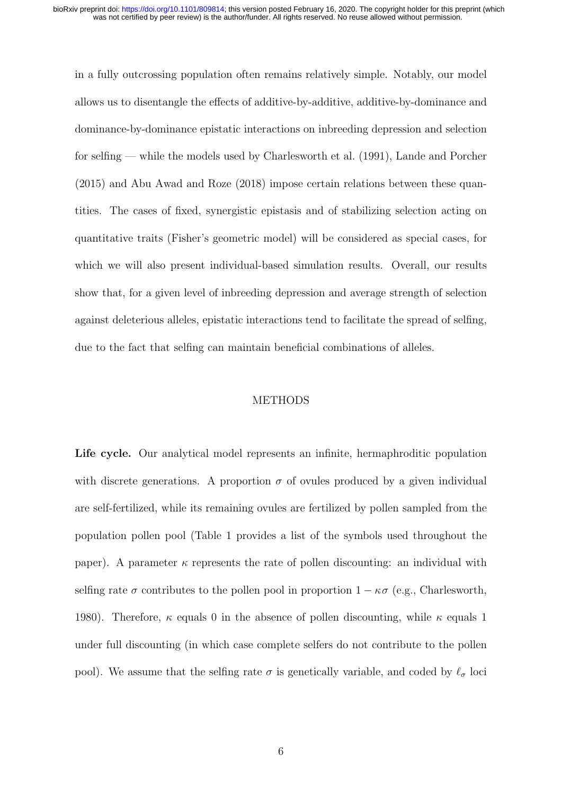in a fully outcrossing population often remains relatively simple. Notably, our model allows us to disentangle the effects of additive-by-additive, additive-by-dominance and dominance-by-dominance epistatic interactions on inbreeding depression and selection for selfing — while the models used by Charlesworth et al. (1991), Lande and Porcher (2015) and Abu Awad and Roze (2018) impose certain relations between these quantities. The cases of fixed, synergistic epistasis and of stabilizing selection acting on quantitative traits (Fisher's geometric model) will be considered as special cases, for which we will also present individual-based simulation results. Overall, our results show that, for a given level of inbreeding depression and average strength of selection against deleterious alleles, epistatic interactions tend to facilitate the spread of selfing, due to the fact that selfing can maintain beneficial combinations of alleles.

# METHODS

Life cycle. Our analytical model represents an infinite, hermaphroditic population with discrete generations. A proportion  $\sigma$  of ovules produced by a given individual are self-fertilized, while its remaining ovules are fertilized by pollen sampled from the population pollen pool (Table 1 provides a list of the symbols used throughout the paper). A parameter  $\kappa$  represents the rate of pollen discounting: an individual with selfing rate  $\sigma$  contributes to the pollen pool in proportion  $1 - \kappa \sigma$  (e.g., Charlesworth, 1980). Therefore,  $\kappa$  equals 0 in the absence of pollen discounting, while  $\kappa$  equals 1 under full discounting (in which case complete selfers do not contribute to the pollen pool). We assume that the selfing rate  $\sigma$  is genetically variable, and coded by  $\ell_{\sigma}$  loci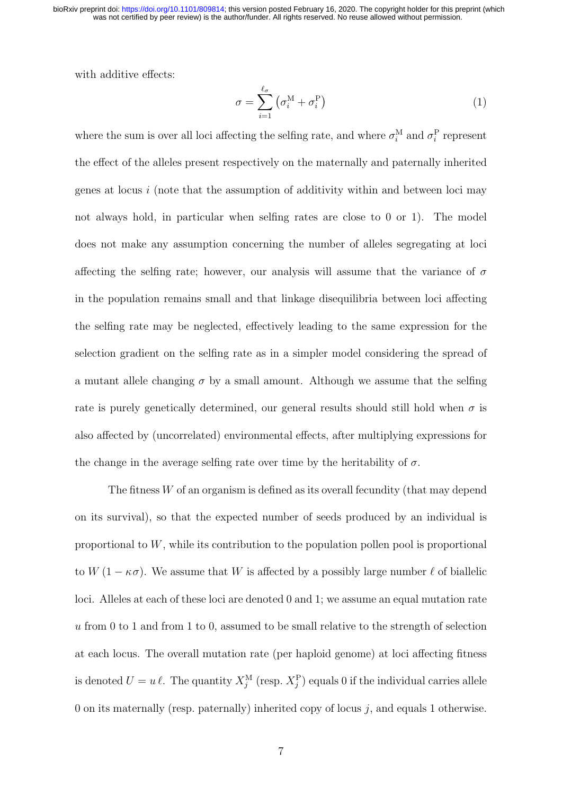was not certified by peer review) is the author/funder. All rights reserved. No reuse allowed without permission. bioRxiv preprint doi: [https://doi.org/10.1101/809814;](https://doi.org/10.1101/809814) this version posted February 16, 2020. The copyright holder for this preprint (which

with additive effects:

$$
\sigma = \sum_{i=1}^{\ell_{\sigma}} \left( \sigma_i^{\mathbf{M}} + \sigma_i^{\mathbf{P}} \right) \tag{1}
$$

where the sum is over all loci affecting the selfing rate, and where  $\sigma_i^{\text{M}}$  and  $\sigma_i^{\text{P}}$  represent the effect of the alleles present respectively on the maternally and paternally inherited genes at locus  $i$  (note that the assumption of additivity within and between loci may not always hold, in particular when selfing rates are close to 0 or 1). The model does not make any assumption concerning the number of alleles segregating at loci affecting the selfing rate; however, our analysis will assume that the variance of  $\sigma$ in the population remains small and that linkage disequilibria between loci affecting the selfing rate may be neglected, effectively leading to the same expression for the selection gradient on the selfing rate as in a simpler model considering the spread of a mutant allele changing  $\sigma$  by a small amount. Although we assume that the selfing rate is purely genetically determined, our general results should still hold when  $\sigma$  is also affected by (uncorrelated) environmental effects, after multiplying expressions for the change in the average selfing rate over time by the heritability of  $\sigma$ .

The fitness W of an organism is defined as its overall fecundity (that may depend on its survival), so that the expected number of seeds produced by an individual is proportional to  $W$ , while its contribution to the population pollen pool is proportional to  $W(1 - \kappa \sigma)$ . We assume that W is affected by a possibly large number  $\ell$  of biallelic loci. Alleles at each of these loci are denoted 0 and 1; we assume an equal mutation rate  $u$  from 0 to 1 and from 1 to 0, assumed to be small relative to the strength of selection at each locus. The overall mutation rate (per haploid genome) at loci affecting fitness is denoted  $U = u \ell$ . The quantity  $X_j^{\text{M}}$  (resp.  $X_j^{\text{P}}$ ) equals 0 if the individual carries allele 0 on its maternally (resp. paternally) inherited copy of locus  $j$ , and equals 1 otherwise.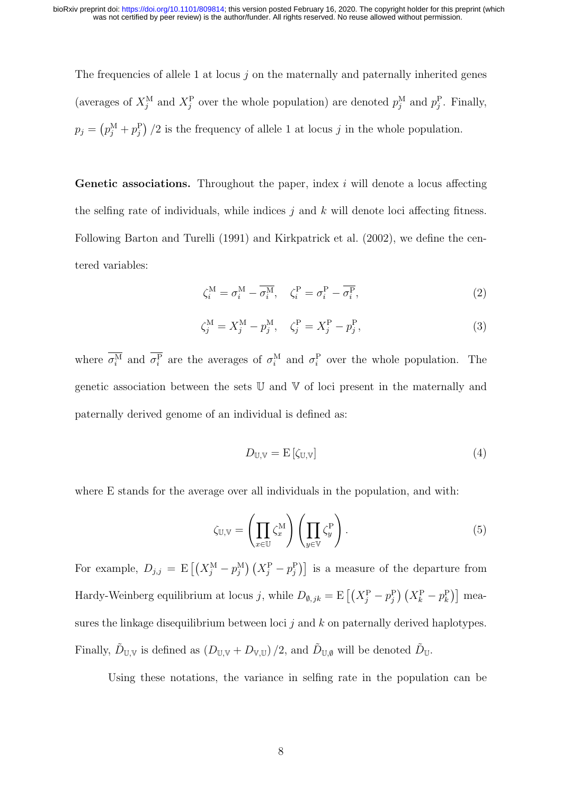The frequencies of allele 1 at locus  $j$  on the maternally and paternally inherited genes (averages of  $X_j^M$  and  $X_j^P$  over the whole population) are denoted  $p_j^M$  and  $p_j^P$ . Finally,  $p_j = (p_j^{\text{M}} + p_j^{\text{P}})/2$  is the frequency of allele 1 at locus j in the whole population.

**Genetic associations.** Throughout the paper, index  $i$  will denote a locus affecting the selfing rate of individuals, while indices  $j$  and  $k$  will denote loci affecting fitness. Following Barton and Turelli (1991) and Kirkpatrick et al. (2002), we define the centered variables:

$$
\zeta_i^{\mathbf{M}} = \sigma_i^{\mathbf{M}} - \overline{\sigma_i^{\mathbf{M}}}, \quad \zeta_i^{\mathbf{P}} = \sigma_i^{\mathbf{P}} - \overline{\sigma_i^{\mathbf{P}}}, \tag{2}
$$

$$
\zeta_j^{\mathcal{M}} = X_j^{\mathcal{M}} - p_j^{\mathcal{M}}, \quad \zeta_j^{\mathcal{P}} = X_j^{\mathcal{P}} - p_j^{\mathcal{P}}, \tag{3}
$$

where  $\sigma_i^M$  and  $\sigma_i^P$  are the averages of  $\sigma_i^M$  and  $\sigma_i^P$  over the whole population. The genetic association between the sets U and V of loci present in the maternally and paternally derived genome of an individual is defined as:

$$
D_{\mathbb{U},\mathbb{V}} = \mathcal{E}\left[\zeta_{\mathbb{U},\mathbb{V}}\right] \tag{4}
$$

where E stands for the average over all individuals in the population, and with:

$$
\zeta_{\mathbb{U},\mathbb{V}} = \left(\prod_{x \in \mathbb{U}} \zeta_x^{\mathbb{M}}\right) \left(\prod_{y \in \mathbb{V}} \zeta_y^{\mathbb{P}}\right). \tag{5}
$$

For example,  $D_{j,j} = \mathbb{E}\left[ \left( X_j^{\text{M}} - p_j^{\text{M}} \right) \left( X_j^{\text{P}} - p_j^{\text{P}} \right) \right]$  is a measure of the departure from Hardy-Weinberg equilibrium at locus j, while  $D_{\emptyset,jk} = \mathrm{E}\left[ \left(X_j^{\mathrm{P}} - p_j^{\mathrm{P}}\right) \left(X_k^{\mathrm{P}} - p_k^{\mathrm{P}}\right) \right]$  measures the linkage disequilibrium between loci  $j$  and  $k$  on paternally derived haplotypes. Finally,  $\tilde{D}_{\mathbb{U},\mathbb{V}}$  is defined as  $(D_{\mathbb{U},\mathbb{V}}+D_{\mathbb{V},\mathbb{U}})/2$ , and  $\tilde{D}_{\mathbb{U},\emptyset}$  will be denoted  $\tilde{D}_{\mathbb{U}}$ .

Using these notations, the variance in selfing rate in the population can be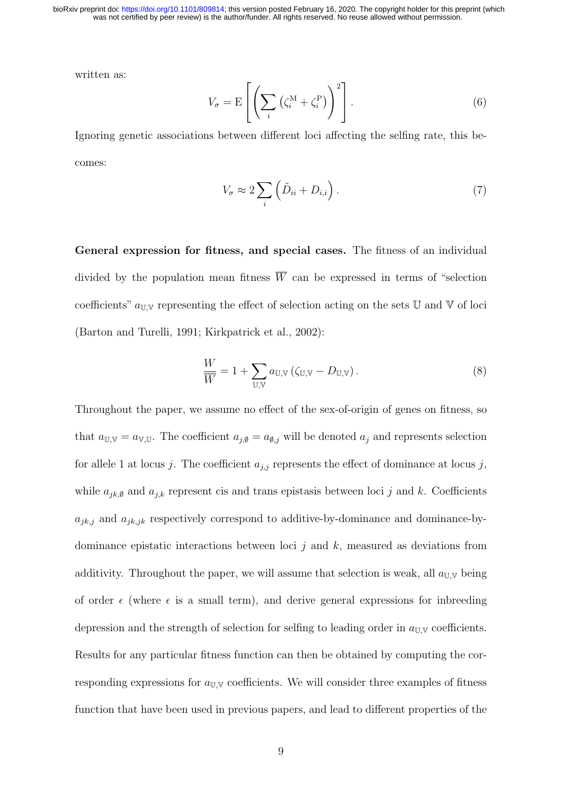was not certified by peer review) is the author/funder. All rights reserved. No reuse allowed without permission. bioRxiv preprint doi: [https://doi.org/10.1101/809814;](https://doi.org/10.1101/809814) this version posted February 16, 2020. The copyright holder for this preprint (which

written as:

$$
V_{\sigma} = \mathcal{E}\left[\left(\sum_{i} \left(\zeta_i^{\mathcal{M}} + \zeta_i^{\mathcal{P}}\right)\right)^2\right].\tag{6}
$$

Ignoring genetic associations between different loci affecting the selfing rate, this becomes:

$$
V_{\sigma} \approx 2 \sum_{i} \left( \tilde{D}_{ii} + D_{i,i} \right). \tag{7}
$$

General expression for fitness, and special cases. The fitness of an individual divided by the population mean fitness  $\overline{W}$  can be expressed in terms of "selection" coefficients"  $a_{\mathbb{U},\mathbb{V}}$  representing the effect of selection acting on the sets U and V of loci (Barton and Turelli, 1991; Kirkpatrick et al., 2002):

$$
\frac{W}{W} = 1 + \sum_{\mathbb{U}, \mathbb{V}} a_{\mathbb{U}, \mathbb{V}} (\zeta_{\mathbb{U}, \mathbb{V}} - D_{\mathbb{U}, \mathbb{V}}).
$$
\n(8)

Throughout the paper, we assume no effect of the sex-of-origin of genes on fitness, so that  $a_{\mathbb{U},\mathbb{V}} = a_{\mathbb{V},\mathbb{U}}$ . The coefficient  $a_{j,\emptyset} = a_{\emptyset,j}$  will be denoted  $a_j$  and represents selection for allele 1 at locus j. The coefficient  $a_{j,j}$  represents the effect of dominance at locus j, while  $a_{jk,0}$  and  $a_{j,k}$  represent cis and trans epistasis between loci j and k. Coefficients  $a_{jk,j}$  and  $a_{jk,jk}$  respectively correspond to additive-by-dominance and dominance-bydominance epistatic interactions between loci  $j$  and  $k$ , measured as deviations from additivity. Throughout the paper, we will assume that selection is weak, all  $a_{\text{UV}}$  being of order  $\epsilon$  (where  $\epsilon$  is a small term), and derive general expressions for inbreeding depression and the strength of selection for selfing to leading order in  $a_{\mathbb{U}\mathbb{V}}$  coefficients. Results for any particular fitness function can then be obtained by computing the corresponding expressions for  $a_{\text{UV}}$  coefficients. We will consider three examples of fitness function that have been used in previous papers, and lead to different properties of the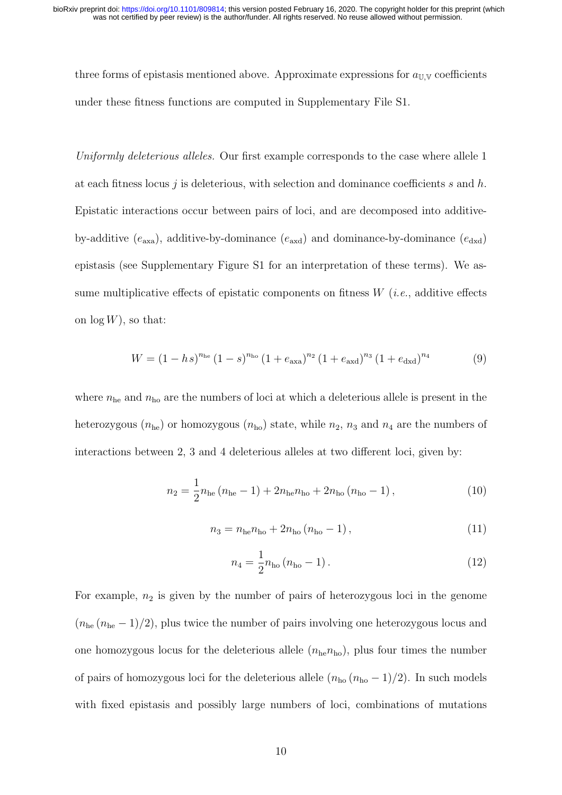three forms of epistasis mentioned above. Approximate expressions for  $a_{\text{U,V}}$  coefficients under these fitness functions are computed in Supplementary File S1.

Uniformly deleterious alleles. Our first example corresponds to the case where allele 1 at each fitness locus  $j$  is deleterious, with selection and dominance coefficients  $s$  and  $h$ . Epistatic interactions occur between pairs of loci, and are decomposed into additiveby-additive  $(e_{\text{axa}})$ , additive-by-dominance  $(e_{\text{axd}})$  and dominance-by-dominance  $(e_{\text{dxd}})$ epistasis (see Supplementary Figure S1 for an interpretation of these terms). We assume multiplicative effects of epistatic components on fitness  $W(i.e., additive$  effects on  $\log W$ ), so that:

$$
W = (1 - hs)^{n_{\text{he}}}(1 - s)^{n_{\text{ho}}}(1 + e_{\text{axa}})^{n_2}(1 + e_{\text{axd}})^{n_3}(1 + e_{\text{dxd}})^{n_4}
$$
(9)

where  $n_{he}$  and  $n_{ho}$  are the numbers of loci at which a deleterious allele is present in the heterozygous  $(n_{he})$  or homozygous  $(n_{ho})$  state, while  $n_2$ ,  $n_3$  and  $n_4$  are the numbers of interactions between 2, 3 and 4 deleterious alleles at two different loci, given by:

$$
n_2 = \frac{1}{2} n_{\text{he}} (n_{\text{he}} - 1) + 2n_{\text{he}} n_{\text{ho}} + 2n_{\text{ho}} (n_{\text{ho}} - 1), \qquad (10)
$$

$$
n_3 = n_{\text{he}} n_{\text{ho}} + 2n_{\text{ho}} (n_{\text{ho}} - 1), \qquad (11)
$$

$$
n_4 = \frac{1}{2} n_{\text{ho}} \left( n_{\text{ho}} - 1 \right). \tag{12}
$$

For example,  $n_2$  is given by the number of pairs of heterozygous loci in the genome  $(n_{he} - 1)/2$ , plus twice the number of pairs involving one heterozygous locus and one homozygous locus for the deleterious allele  $(n_{he}n_{ho})$ , plus four times the number of pairs of homozygous loci for the deleterious allele  $(n_{\text{ho}} (n_{\text{ho}} - 1)/2)$ . In such models with fixed epistasis and possibly large numbers of loci, combinations of mutations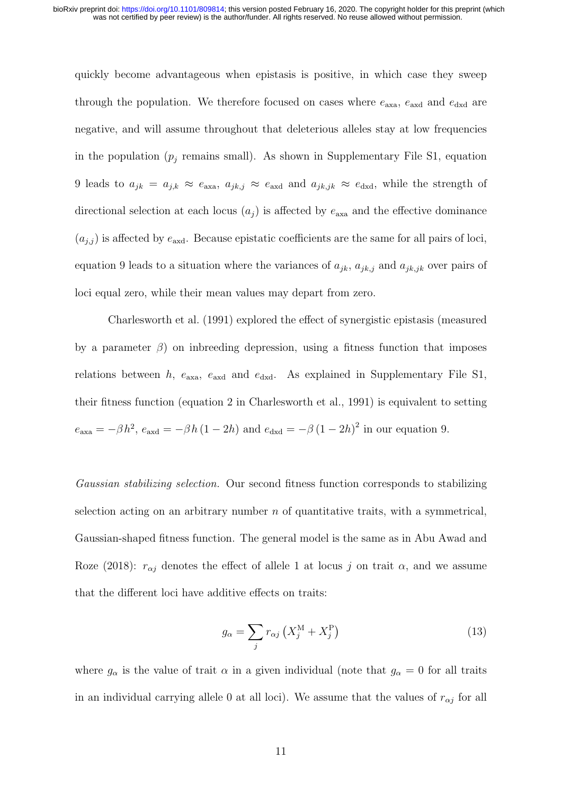quickly become advantageous when epistasis is positive, in which case they sweep through the population. We therefore focused on cases where  $e_{\text{axa}}$ ,  $e_{\text{axd}}$  and  $e_{\text{dxd}}$  are negative, and will assume throughout that deleterious alleles stay at low frequencies in the population  $(p_i$  remains small). As shown in Supplementary File S1, equation 9 leads to  $a_{jk} = a_{j,k} \approx e_{\text{axa}}$ ,  $a_{jk,j} \approx e_{\text{axd}}$  and  $a_{jk,jk} \approx e_{\text{dxd}}$ , while the strength of directional selection at each locus  $(a_i)$  is affected by  $e_{\text{axa}}$  and the effective dominance  $(a_{j,j})$  is affected by  $e_{\text{axd}}$ . Because epistatic coefficients are the same for all pairs of loci, equation 9 leads to a situation where the variances of  $a_{jk}$ ,  $a_{jk,j}$  and  $a_{jk,jk}$  over pairs of loci equal zero, while their mean values may depart from zero.

Charlesworth et al. (1991) explored the effect of synergistic epistasis (measured by a parameter  $\beta$ ) on inbreeding depression, using a fitness function that imposes relations between h,  $e_{\text{axa}}$ ,  $e_{\text{axd}}$  and  $e_{\text{dxd}}$ . As explained in Supplementary File S1, their fitness function (equation 2 in Charlesworth et al., 1991) is equivalent to setting  $e_{\text{axa}} = -\beta h^2$ ,  $e_{\text{axd}} = -\beta h (1 - 2h)$  and  $e_{\text{dxd}} = -\beta (1 - 2h)^2$  in our equation 9.

Gaussian stabilizing selection. Our second fitness function corresponds to stabilizing selection acting on an arbitrary number  $n$  of quantitative traits, with a symmetrical, Gaussian-shaped fitness function. The general model is the same as in Abu Awad and Roze (2018):  $r_{\alpha j}$  denotes the effect of allele 1 at locus j on trait  $\alpha$ , and we assume that the different loci have additive effects on traits:

$$
g_{\alpha} = \sum_{j} r_{\alpha j} \left( X_j^{\text{M}} + X_j^{\text{P}} \right) \tag{13}
$$

where  $g_{\alpha}$  is the value of trait  $\alpha$  in a given individual (note that  $g_{\alpha} = 0$  for all traits in an individual carrying allele 0 at all loci). We assume that the values of  $r_{\alpha j}$  for all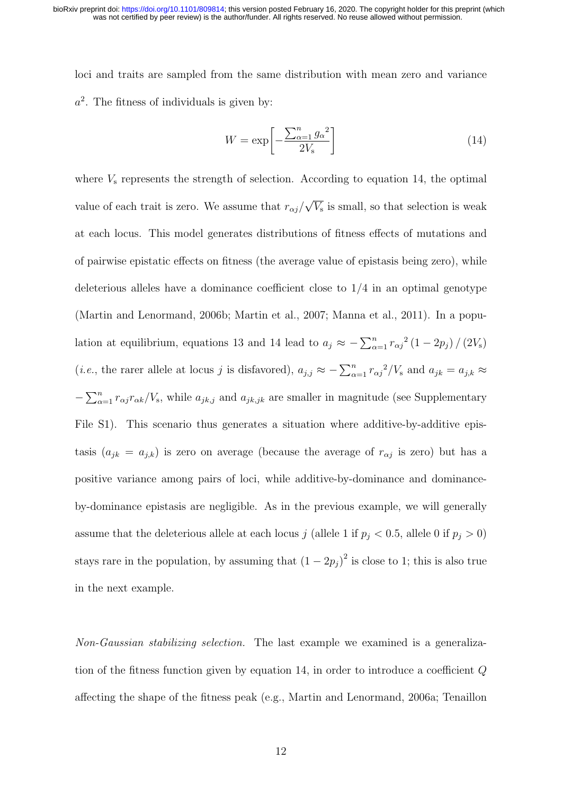loci and traits are sampled from the same distribution with mean zero and variance  $a<sup>2</sup>$ . The fitness of individuals is given by:

$$
W = \exp\left[-\frac{\sum_{\alpha=1}^{n} g_{\alpha}^{2}}{2V_{\rm s}}\right]
$$
 (14)

where  $V<sub>s</sub>$  represents the strength of selection. According to equation 14, the optimal value of each trait is zero. We assume that  $r_{\alpha j}/$ √  $\overline{V_{s}}$  is small, so that selection is weak at each locus. This model generates distributions of fitness effects of mutations and of pairwise epistatic effects on fitness (the average value of epistasis being zero), while deleterious alleles have a dominance coefficient close to 1/4 in an optimal genotype (Martin and Lenormand, 2006b; Martin et al., 2007; Manna et al., 2011). In a population at equilibrium, equations 13 and 14 lead to  $a_j \approx -\sum_{\alpha=1}^n r_{\alpha j}^2 (1 - 2p_j) / (2V_s)$ (*i.e.*, the rarer allele at locus j is disfavored),  $a_{j,j} \approx -\sum_{\alpha=1}^n r_{\alpha j}^2/V_s$  and  $a_{jk} = a_{j,k} \approx$  $-\sum_{\alpha=1}^n r_{\alpha j} r_{\alpha k}/V_s$ , while  $a_{jk,j}$  and  $a_{jk,jk}$  are smaller in magnitude (see Supplementary File S1). This scenario thus generates a situation where additive-by-additive epistasis  $(a_{jk} = a_{j,k})$  is zero on average (because the average of  $r_{\alpha j}$  is zero) but has a positive variance among pairs of loci, while additive-by-dominance and dominanceby-dominance epistasis are negligible. As in the previous example, we will generally assume that the deleterious allele at each locus j (allele 1 if  $p_j < 0.5$ , allele 0 if  $p_j > 0$ ) stays rare in the population, by assuming that  $(1 - 2p_j)^2$  is close to 1; this is also true in the next example.

Non-Gaussian stabilizing selection. The last example we examined is a generalization of the fitness function given by equation 14, in order to introduce a coefficient Q affecting the shape of the fitness peak (e.g., Martin and Lenormand, 2006a; Tenaillon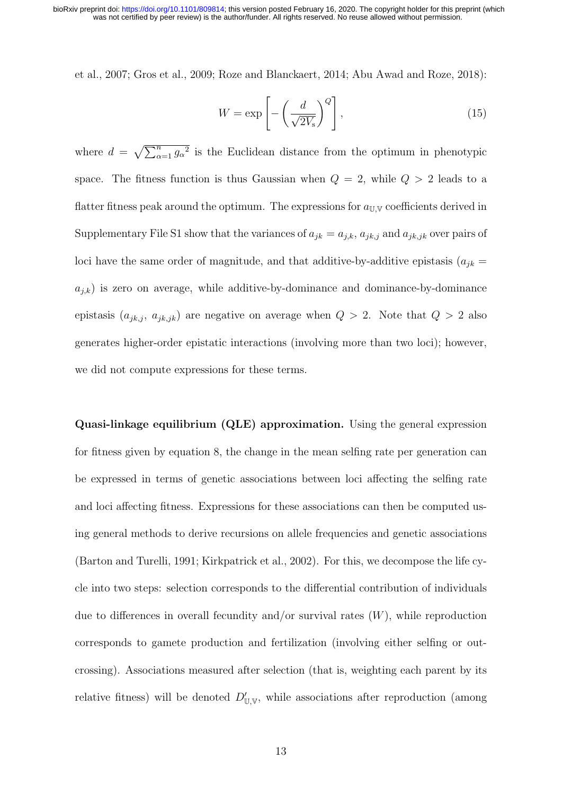was not certified by peer review) is the author/funder. All rights reserved. No reuse allowed without permission. bioRxiv preprint doi: [https://doi.org/10.1101/809814;](https://doi.org/10.1101/809814) this version posted February 16, 2020. The copyright holder for this preprint (which

et al., 2007; Gros et al., 2009; Roze and Blanckaert, 2014; Abu Awad and Roze, 2018):

$$
W = \exp\left[-\left(\frac{d}{\sqrt{2V_{\rm s}}}\right)^Q\right],\tag{15}
$$

where  $d = \sqrt{\sum_{\alpha=1}^n g_{\alpha}^2}$  is the Euclidean distance from the optimum in phenotypic space. The fitness function is thus Gaussian when  $Q = 2$ , while  $Q > 2$  leads to a flatter fitness peak around the optimum. The expressions for  $a_{\text{U,V}}$  coefficients derived in Supplementary File S1 show that the variances of  $a_{jk} = a_{j,k}$ ,  $a_{jk,j}$  and  $a_{jk,jk}$  over pairs of loci have the same order of magnitude, and that additive-by-additive epistasis  $(a_{jk} =$  $a_{j,k}$ ) is zero on average, while additive-by-dominance and dominance-by-dominance epistasis  $(a_{jk,j}, a_{jk,jk})$  are negative on average when  $Q > 2$ . Note that  $Q > 2$  also generates higher-order epistatic interactions (involving more than two loci); however, we did not compute expressions for these terms.

Quasi-linkage equilibrium (QLE) approximation. Using the general expression for fitness given by equation 8, the change in the mean selfing rate per generation can be expressed in terms of genetic associations between loci affecting the selfing rate and loci affecting fitness. Expressions for these associations can then be computed using general methods to derive recursions on allele frequencies and genetic associations (Barton and Turelli, 1991; Kirkpatrick et al., 2002). For this, we decompose the life cycle into two steps: selection corresponds to the differential contribution of individuals due to differences in overall fecundity and/or survival rates  $(W)$ , while reproduction corresponds to gamete production and fertilization (involving either selfing or outcrossing). Associations measured after selection (that is, weighting each parent by its relative fitness) will be denoted  $D'_{U,V}$ , while associations after reproduction (among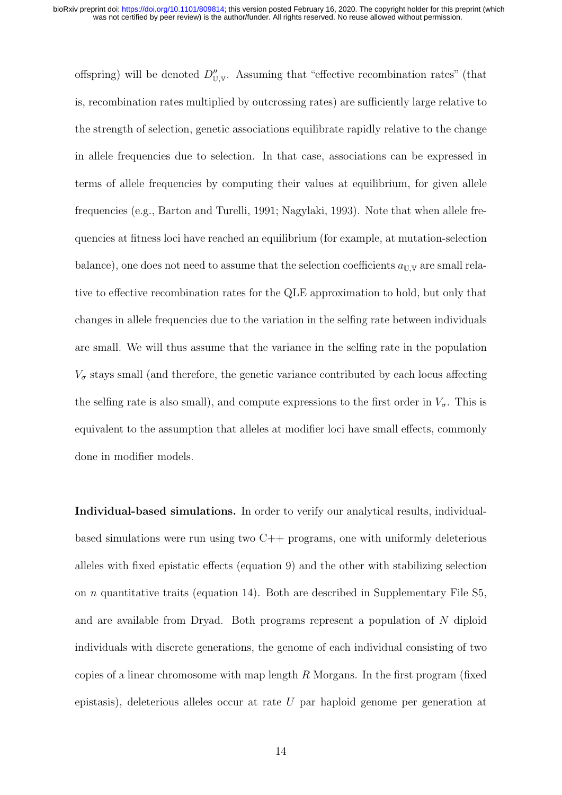offspring) will be denoted  $D''_{\mathbb{U},\mathbb{V}}$ . Assuming that "effective recombination rates" (that is, recombination rates multiplied by outcrossing rates) are sufficiently large relative to the strength of selection, genetic associations equilibrate rapidly relative to the change in allele frequencies due to selection. In that case, associations can be expressed in terms of allele frequencies by computing their values at equilibrium, for given allele frequencies (e.g., Barton and Turelli, 1991; Nagylaki, 1993). Note that when allele frequencies at fitness loci have reached an equilibrium (for example, at mutation-selection balance), one does not need to assume that the selection coefficients  $a_{\mathbb{U},\mathbb{V}}$  are small relative to effective recombination rates for the QLE approximation to hold, but only that changes in allele frequencies due to the variation in the selfing rate between individuals are small. We will thus assume that the variance in the selfing rate in the population  $V_{\sigma}$  stays small (and therefore, the genetic variance contributed by each locus affecting the selfing rate is also small), and compute expressions to the first order in  $V_{\sigma}$ . This is equivalent to the assumption that alleles at modifier loci have small effects, commonly done in modifier models.

Individual-based simulations. In order to verify our analytical results, individualbased simulations were run using two C++ programs, one with uniformly deleterious alleles with fixed epistatic effects (equation 9) and the other with stabilizing selection on  $n$  quantitative traits (equation 14). Both are described in Supplementary File S5, and are available from Dryad. Both programs represent a population of N diploid individuals with discrete generations, the genome of each individual consisting of two copies of a linear chromosome with map length  $R$  Morgans. In the first program (fixed epistasis), deleterious alleles occur at rate  $U$  par haploid genome per generation at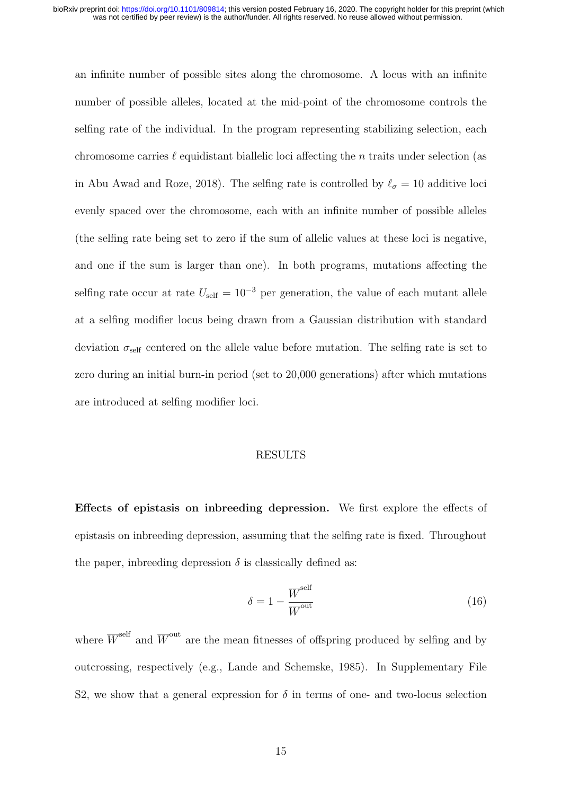an infinite number of possible sites along the chromosome. A locus with an infinite number of possible alleles, located at the mid-point of the chromosome controls the selfing rate of the individual. In the program representing stabilizing selection, each chromosome carries  $\ell$  equidistant biallelic loci affecting the n traits under selection (as in Abu Awad and Roze, 2018). The selfing rate is controlled by  $\ell_{\sigma} = 10$  additive loci evenly spaced over the chromosome, each with an infinite number of possible alleles (the selfing rate being set to zero if the sum of allelic values at these loci is negative, and one if the sum is larger than one). In both programs, mutations affecting the selfing rate occur at rate  $U_{\text{self}} = 10^{-3}$  per generation, the value of each mutant allele at a selfing modifier locus being drawn from a Gaussian distribution with standard deviation  $\sigma_{\text{self}}$  centered on the allele value before mutation. The selfing rate is set to zero during an initial burn-in period (set to 20,000 generations) after which mutations are introduced at selfing modifier loci.

### RESULTS

Effects of epistasis on inbreeding depression. We first explore the effects of epistasis on inbreeding depression, assuming that the selfing rate is fixed. Throughout the paper, indreading depression  $\delta$  is classically defined as:

$$
\delta = 1 - \frac{\overline{W}^{\text{self}}}{\overline{W}^{\text{out}}} \tag{16}
$$

where  $\overline{W}^{\text{self}}$  and  $\overline{W}^{\text{out}}$  are the mean fitnesses of offspring produced by selfing and by outcrossing, respectively (e.g., Lande and Schemske, 1985). In Supplementary File S2, we show that a general expression for  $\delta$  in terms of one- and two-locus selection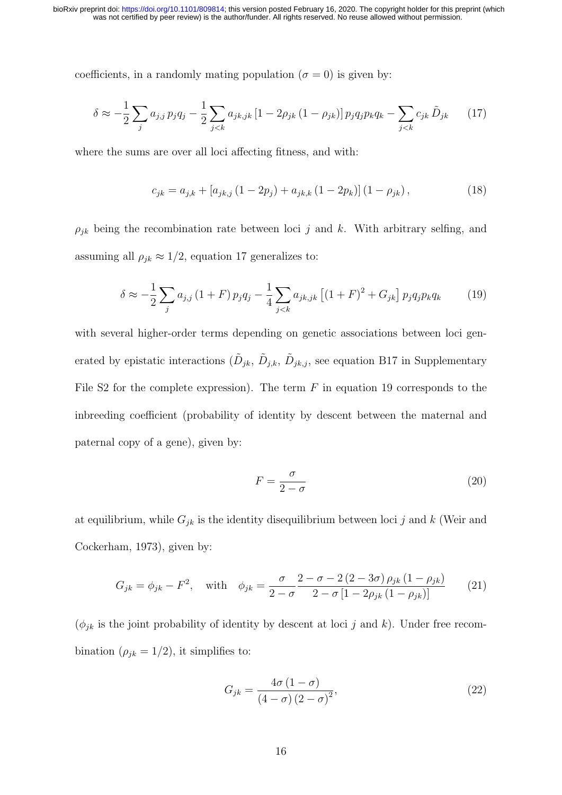coefficients, in a randomly mating population ( $\sigma = 0$ ) is given by:

$$
\delta \approx -\frac{1}{2} \sum_{j} a_{j,j} p_j q_j - \frac{1}{2} \sum_{j < k} a_{jk,jk} \left[ 1 - 2\rho_{jk} \left( 1 - \rho_{jk} \right) \right] p_j q_j p_k q_k - \sum_{j < k} c_{jk} \tilde{D}_{jk} \tag{17}
$$

where the sums are over all loci affecting fitness, and with:

$$
c_{jk} = a_{j,k} + [a_{jk,j}(1 - 2p_j) + a_{jk,k}(1 - 2p_k)](1 - \rho_{jk}),
$$
\n(18)

 $\rho_{jk}$  being the recombination rate between loci j and k. With arbitrary selfing, and assuming all  $\rho_{jk} \approx 1/2$ , equation 17 generalizes to:

$$
\delta \approx -\frac{1}{2} \sum_{j} a_{j,j} (1+F) p_j q_j - \frac{1}{4} \sum_{j < k} a_{jk,jk} \left[ (1+F)^2 + G_{jk} \right] p_j q_j p_k q_k \tag{19}
$$

with several higher-order terms depending on genetic associations between loci generated by epistatic interactions  $(\tilde{D}_{jk}, \tilde{D}_{jk}, \tilde{D}_{jk,j})$ , see equation B17 in Supplementary File S2 for the complete expression). The term  $F$  in equation 19 corresponds to the inbreeding coefficient (probability of identity by descent between the maternal and paternal copy of a gene), given by:

$$
F = \frac{\sigma}{2 - \sigma} \tag{20}
$$

at equilibrium, while  $G_{jk}$  is the identity disequilibrium between loci j and k (Weir and Cockerham, 1973), given by:

$$
G_{jk} = \phi_{jk} - F^2, \quad \text{with} \quad \phi_{jk} = \frac{\sigma}{2 - \sigma} \frac{2 - \sigma - 2(2 - 3\sigma)\rho_{jk}(1 - \rho_{jk})}{2 - \sigma[1 - 2\rho_{jk}(1 - \rho_{jk})]}
$$
(21)

 $(\phi_{jk}$  is the joint probability of identity by descent at loci j and k). Under free recombination  $(\rho_{jk} = 1/2)$ , it simplifies to:

$$
G_{jk} = \frac{4\sigma (1 - \sigma)}{\left(4 - \sigma\right) \left(2 - \sigma\right)^2},\tag{22}
$$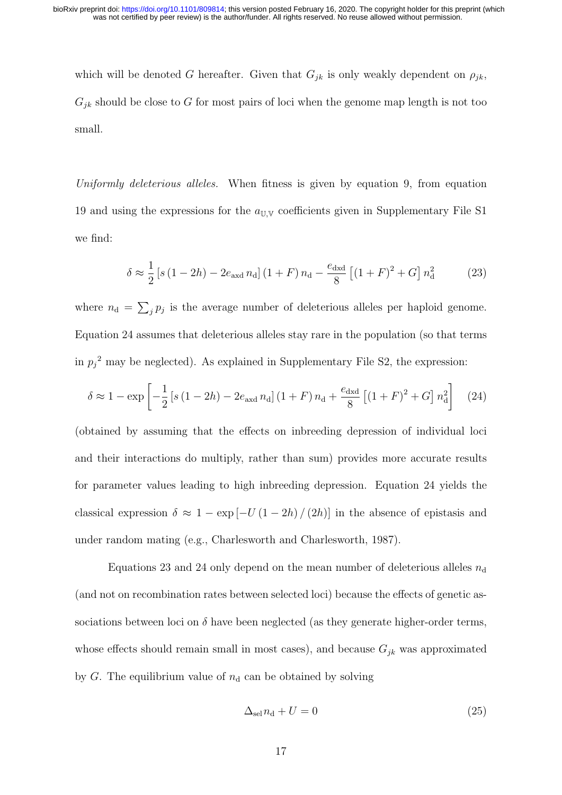which will be denoted G hereafter. Given that  $G_{jk}$  is only weakly dependent on  $\rho_{jk}$ ,  $G_{jk}$  should be close to G for most pairs of loci when the genome map length is not too small.

Uniformly deleterious alleles. When fitness is given by equation 9, from equation 19 and using the expressions for the  $a_{\text{U,V}}$  coefficients given in Supplementary File S1 we find:

$$
\delta \approx \frac{1}{2} \left[ s \left( 1 - 2h \right) - 2e_{\text{axd}} n_{\text{d}} \right] \left( 1 + F \right) n_{\text{d}} - \frac{e_{\text{dxd}}}{8} \left[ \left( 1 + F \right)^2 + G \right] n_{\text{d}}^2 \tag{23}
$$

where  $n_d = \sum_j p_j$  is the average number of deleterious alleles per haploid genome. Equation 24 assumes that deleterious alleles stay rare in the population (so that terms in  $p_j^2$  may be neglected). As explained in Supplementary File S2, the expression:

$$
\delta \approx 1 - \exp\left[ -\frac{1}{2} \left[ s \left( 1 - 2h \right) - 2e_{\text{axd}} n_{\text{d}} \right] \left( 1 + F \right) n_{\text{d}} + \frac{e_{\text{dxd}}}{8} \left[ \left( 1 + F \right)^2 + G \right] n_{\text{d}}^2 \right] \tag{24}
$$

(obtained by assuming that the effects on inbreeding depression of individual loci and their interactions do multiply, rather than sum) provides more accurate results for parameter values leading to high inbreeding depression. Equation 24 yields the classical expression  $\delta \approx 1 - \exp[-U(1 - 2h)/(2h)]$  in the absence of epistasis and under random mating (e.g., Charlesworth and Charlesworth, 1987).

Equations 23 and 24 only depend on the mean number of deleterious alleles  $n_d$ (and not on recombination rates between selected loci) because the effects of genetic associations between loci on  $\delta$  have been neglected (as they generate higher-order terms, whose effects should remain small in most cases), and because  $G_{jk}$  was approximated by  $G$ . The equilibrium value of  $n_d$  can be obtained by solving

$$
\Delta_{\rm sel} n_{\rm d} + U = 0 \tag{25}
$$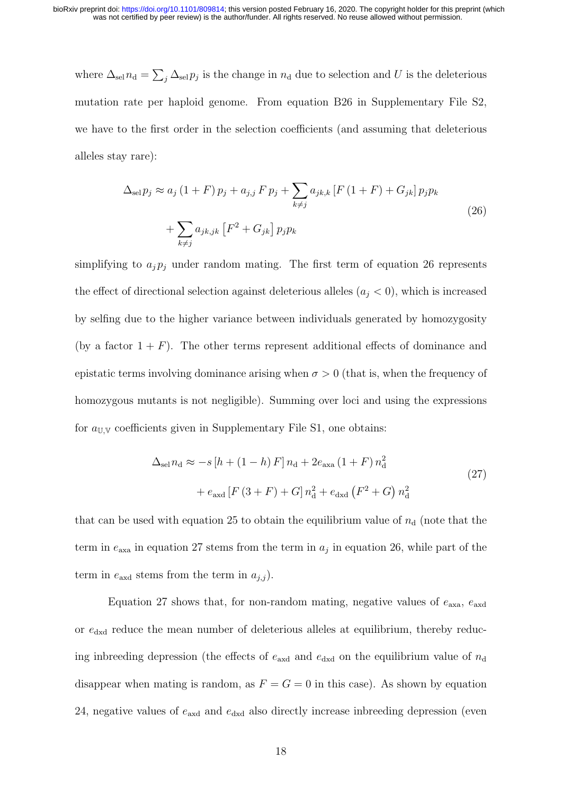where  $\Delta_{\text{sel}} n_{\text{d}} = \sum_{j} \Delta_{\text{sel}} p_{j}$  is the change in  $n_{\text{d}}$  due to selection and U is the deleterious mutation rate per haploid genome. From equation B26 in Supplementary File S2, we have to the first order in the selection coefficients (and assuming that deleterious alleles stay rare):

$$
\Delta_{\text{sel}} p_j \approx a_j (1 + F) p_j + a_{j,j} F p_j + \sum_{k \neq j} a_{jk,k} [F (1 + F) + G_{jk}] p_j p_k
$$
  
+ 
$$
\sum_{k \neq j} a_{jk,jk} [F^2 + G_{jk}] p_j p_k
$$
 (26)

simplifying to  $a_j p_j$  under random mating. The first term of equation 26 represents the effect of directional selection against deleterious alleles  $(a_j < 0)$ , which is increased by selfing due to the higher variance between individuals generated by homozygosity (by a factor  $1 + F$ ). The other terms represent additional effects of dominance and epistatic terms involving dominance arising when  $\sigma > 0$  (that is, when the frequency of homozygous mutants is not negligible). Summing over loci and using the expressions for  $a_{\text{UV}}$  coefficients given in Supplementary File S1, one obtains:

$$
\Delta_{\text{sel}} n_{\text{d}} \approx -s [h + (1 - h) F] n_{\text{d}} + 2e_{\text{axa}} (1 + F) n_{\text{d}}^2 + e_{\text{axd}} [F (3 + F) + G] n_{\text{d}}^2 + e_{\text{dxd}} (F^2 + G) n_{\text{d}}^2
$$
\n(27)

that can be used with equation 25 to obtain the equilibrium value of  $n_d$  (note that the term in  $e_{\text{axa}}$  in equation 27 stems from the term in  $a_j$  in equation 26, while part of the term in  $e_{\text{axd}}$  stems from the term in  $a_{j,i}$ ).

Equation 27 shows that, for non-random mating, negative values of  $e_{\text{axa}}$ ,  $e_{\text{axd}}$ or  $e_{\text{dxd}}$  reduce the mean number of deleterious alleles at equilibrium, thereby reducing inbreeding depression (the effects of  $e_{\text{axd}}$  and  $e_{\text{dxd}}$  on the equilibrium value of  $n_{\text{d}}$ disappear when mating is random, as  $F = G = 0$  in this case). As shown by equation 24, negative values of  $e_{\text{axd}}$  and  $e_{\text{dxd}}$  also directly increase inbreeding depression (even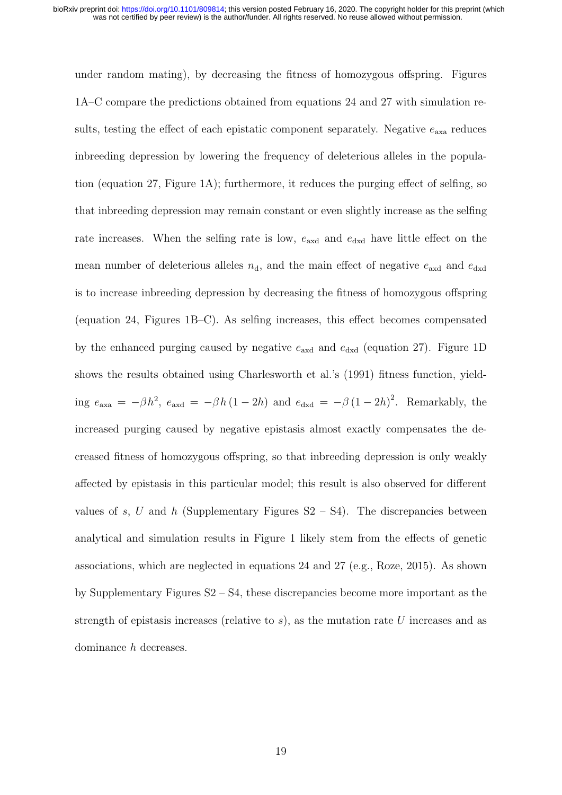under random mating), by decreasing the fitness of homozygous offspring. Figures 1A–C compare the predictions obtained from equations 24 and 27 with simulation results, testing the effect of each epistatic component separately. Negative  $e_{\text{axa}}$  reduces inbreeding depression by lowering the frequency of deleterious alleles in the population (equation 27, Figure 1A); furthermore, it reduces the purging effect of selfing, so that inbreeding depression may remain constant or even slightly increase as the selfing rate increases. When the selfing rate is low,  $e_{\text{axd}}$  and  $e_{\text{dxd}}$  have little effect on the mean number of deleterious alleles  $n_d$ , and the main effect of negative  $e_{\text{axd}}$  and  $e_{\text{dxd}}$ is to increase inbreeding depression by decreasing the fitness of homozygous offspring (equation 24, Figures 1B–C). As selfing increases, this effect becomes compensated by the enhanced purging caused by negative  $e_{\text{axd}}$  and  $e_{\text{dxd}}$  (equation 27). Figure 1D shows the results obtained using Charlesworth et al.'s (1991) fitness function, yielding  $e_{\text{axa}} = -\beta h^2$ ,  $e_{\text{axd}} = -\beta h (1 - 2h)$  and  $e_{\text{dxd}} = -\beta (1 - 2h)^2$ . Remarkably, the increased purging caused by negative epistasis almost exactly compensates the decreased fitness of homozygous offspring, so that inbreeding depression is only weakly affected by epistasis in this particular model; this result is also observed for different values of s, U and h (Supplementary Figures  $S2 - S4$ ). The discrepancies between analytical and simulation results in Figure 1 likely stem from the effects of genetic associations, which are neglected in equations 24 and 27 (e.g., Roze, 2015). As shown by Supplementary Figures S2 – S4, these discrepancies become more important as the strength of epistasis increases (relative to  $s$ ), as the mutation rate U increases and as dominance h decreases.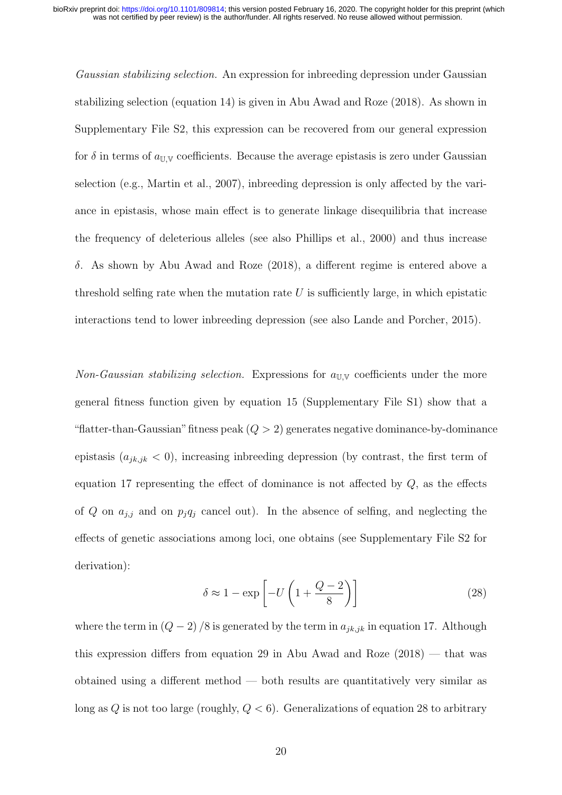Gaussian stabilizing selection. An expression for inbreeding depression under Gaussian stabilizing selection (equation 14) is given in Abu Awad and Roze (2018). As shown in Supplementary File S2, this expression can be recovered from our general expression for  $\delta$  in terms of  $a_{\text{UV}}$  coefficients. Because the average epistasis is zero under Gaussian selection (e.g., Martin et al., 2007), inbreeding depression is only affected by the variance in epistasis, whose main effect is to generate linkage disequilibria that increase the frequency of deleterious alleles (see also Phillips et al., 2000) and thus increase δ. As shown by Abu Awad and Roze (2018), a different regime is entered above a threshold selfing rate when the mutation rate  $U$  is sufficiently large, in which epistatic interactions tend to lower inbreeding depression (see also Lande and Porcher, 2015).

Non-Gaussian stabilizing selection. Expressions for  $a_{\text{UV}}$  coefficients under the more general fitness function given by equation 15 (Supplementary File S1) show that a "flatter-than-Gaussian" fitness peak  $(Q > 2)$  generates negative dominance-by-dominance epistasis  $(a_{jk,jk} < 0)$ , increasing indreading depression (by contrast, the first term of equation 17 representing the effect of dominance is not affected by  $Q$ , as the effects of Q on  $a_{j,j}$  and on  $p_jq_j$  cancel out). In the absence of selfing, and neglecting the effects of genetic associations among loci, one obtains (see Supplementary File S2 for derivation):

$$
\delta \approx 1 - \exp\left[-U\left(1 + \frac{Q - 2}{8}\right)\right] \tag{28}
$$

where the term in  $(Q-2)/8$  is generated by the term in  $a_{jk,jk}$  in equation 17. Although this expression differs from equation 29 in Abu Awad and Roze  $(2018)$  — that was obtained using a different method — both results are quantitatively very similar as long as  $Q$  is not too large (roughly,  $Q < 6$ ). Generalizations of equation 28 to arbitrary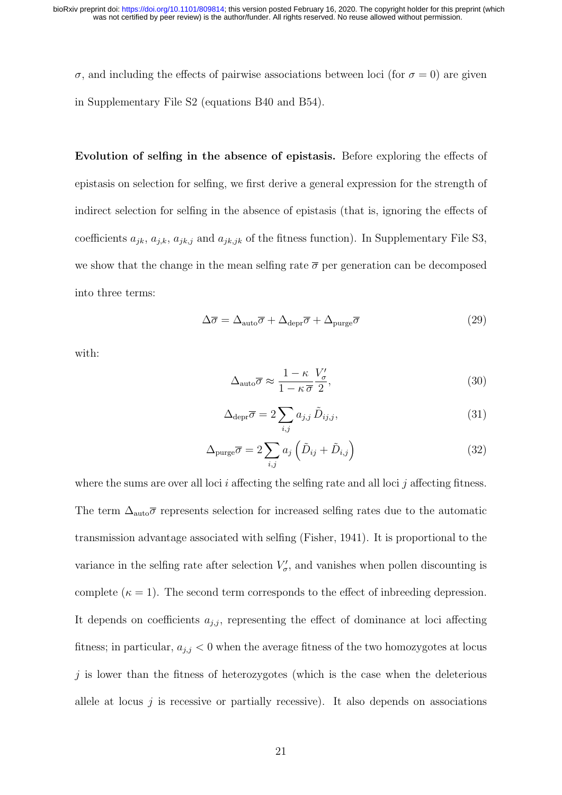σ, and including the effects of pairwise associations between loci (for  $σ = 0$ ) are given in Supplementary File S2 (equations B40 and B54).

Evolution of selfing in the absence of epistasis. Before exploring the effects of epistasis on selection for selfing, we first derive a general expression for the strength of indirect selection for selfing in the absence of epistasis (that is, ignoring the effects of coefficients  $a_{jk}$ ,  $a_{jk}$ ,  $a_{jk,j}$  and  $a_{jk,jk}$  of the fitness function). In Supplementary File S3, we show that the change in the mean selfing rate  $\bar{\sigma}$  per generation can be decomposed into three terms:

$$
\Delta \overline{\sigma} = \Delta_{\text{auto}} \overline{\sigma} + \Delta_{\text{depr}} \overline{\sigma} + \Delta_{\text{pure}} \overline{\sigma}
$$
 (29)

with:

$$
\Delta_{\text{auto}}\overline{\sigma} \approx \frac{1-\kappa}{1-\kappa}\frac{V_{\sigma}'}{\overline{\sigma}} ,\qquad(30)
$$

$$
\Delta_{\text{depr}} \overline{\sigma} = 2 \sum_{i,j} a_{j,j} \tilde{D}_{ij,j},
$$
\n(31)

$$
\Delta_{\text{pure}}\overline{\sigma} = 2\sum_{i,j} a_j \left(\tilde{D}_{ij} + \tilde{D}_{i,j}\right) \tag{32}
$$

where the sums are over all loci  $i$  affecting the selfing rate and all loci  $j$  affecting fitness. The term  $\Delta_{\text{auto}}\overline{\sigma}$  represents selection for increased selfing rates due to the automatic transmission advantage associated with selfing (Fisher, 1941). It is proportional to the variance in the selfing rate after selection  $V'_{\sigma}$ , and vanishes when pollen discounting is complete  $(\kappa = 1)$ . The second term corresponds to the effect of inbreeding depression. It depends on coefficients  $a_{j,j}$ , representing the effect of dominance at loci affecting fitness; in particular,  $a_{j,j} < 0$  when the average fitness of the two homozygotes at locus  $j$  is lower than the fitness of heterozygotes (which is the case when the deleterious allele at locus  $i$  is recessive or partially recessive). It also depends on associations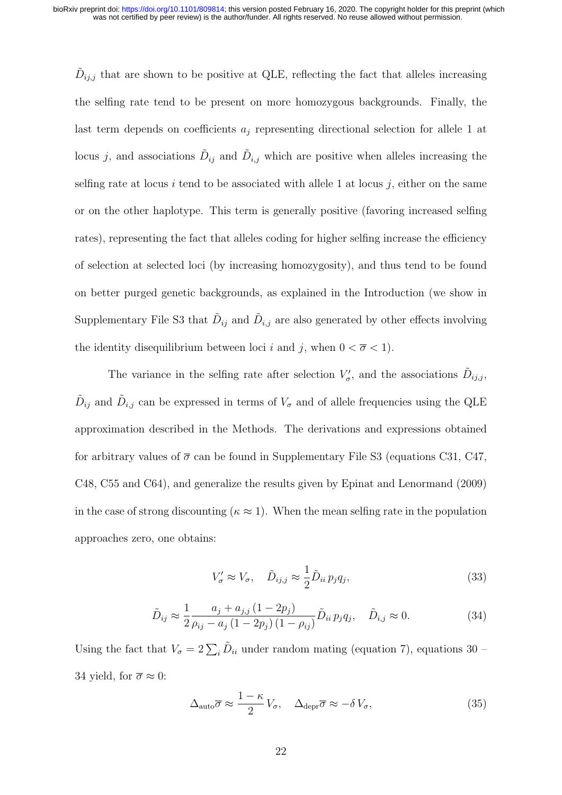$\tilde{D}_{ij,j}$  that are shown to be positive at QLE, reflecting the fact that alleles increasing the selfing rate tend to be present on more homozygous backgrounds. Finally, the last term depends on coefficients  $a_i$  representing directional selection for allele 1 at locus j, and associations  $\tilde{D}_{ij}$  and  $\tilde{D}_{i,j}$  which are positive when alleles increasing the selfing rate at locus i tend to be associated with allele 1 at locus j, either on the same or on the other haplotype. This term is generally positive (favoring increased selfing rates), representing the fact that alleles coding for higher selfing increase the efficiency of selection at selected loci (by increasing homozygosity), and thus tend to be found on better purged genetic backgrounds, as explained in the Introduction (we show in Supplementary File S3 that  $\tilde{D}_{ij}$  and  $\tilde{D}_{i,j}$  are also generated by other effects involving the identity disequilibrium between loci i and j, when  $0 < \overline{\sigma} < 1$ .

The variance in the selfing rate after selection  $V'_{\sigma}$ , and the associations  $\tilde{D}_{ij,j}$ ,  $\tilde{D}_{ij}$  and  $\tilde{D}_{i,j}$  can be expressed in terms of  $V_{\sigma}$  and of allele frequencies using the QLE approximation described in the Methods. The derivations and expressions obtained for arbitrary values of  $\bar{\sigma}$  can be found in Supplementary File S3 (equations C31, C47, C48, C55 and C64), and generalize the results given by Epinat and Lenormand (2009) in the case of strong discounting ( $\kappa \approx 1$ ). When the mean selfing rate in the population approaches zero, one obtains:

$$
V'_{\sigma} \approx V_{\sigma}, \quad \tilde{D}_{ij,j} \approx \frac{1}{2} \tilde{D}_{ii} p_j q_j,
$$
\n(33)

$$
\tilde{D}_{ij} \approx \frac{1}{2} \frac{a_j + a_{j,j} (1 - 2p_j)}{\rho_{ij} - a_j (1 - 2p_j) (1 - \rho_{ij})} \tilde{D}_{ii} p_j q_j, \quad \tilde{D}_{i,j} \approx 0.
$$
\n(34)

Using the fact that  $V_{\sigma} = 2 \sum_{i} \tilde{D}_{ii}$  under random mating (equation 7), equations 30 – 34 yield, for  $\overline{\sigma} \approx 0$ :

$$
\Delta_{\text{auto}}\overline{\sigma} \approx \frac{1-\kappa}{2}V_{\sigma}, \quad \Delta_{\text{depr}}\overline{\sigma} \approx -\delta V_{\sigma},\tag{35}
$$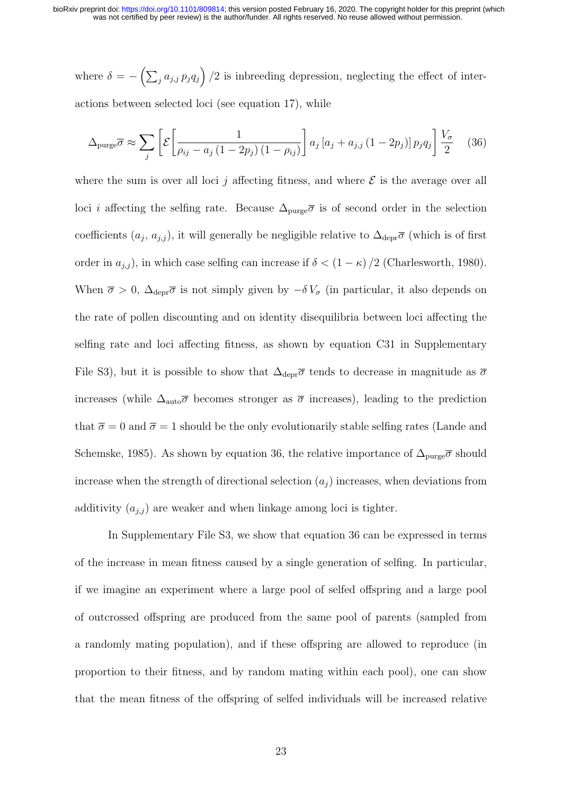where  $\delta = -\left(\sum_j a_{j,j} p_j q_j\right)/2$  is indreading depression, neglecting the effect of interactions between selected loci (see equation 17), while

$$
\Delta_{\text{pure}} \overline{\sigma} \approx \sum_{j} \left[ \mathcal{E} \left[ \frac{1}{\rho_{ij} - a_j \left( 1 - 2p_j \right) \left( 1 - \rho_{ij} \right)} \right] a_j \left[ a_j + a_{j,j} \left( 1 - 2p_j \right) \right] p_j q_j \right] \frac{V_{\sigma}}{2} \tag{36}
$$

where the sum is over all loci j affecting fitness, and where  $\mathcal E$  is the average over all loci *i* affecting the selfing rate. Because  $\Delta_{\text{pure}}\overline{\sigma}$  is of second order in the selection coefficients  $(a_j, a_{j,j})$ , it will generally be negligible relative to  $\Delta_{\text{depr}}\overline{\sigma}$  (which is of first order in  $a_{j,j}$ ), in which case selfing can increase if  $\delta < (1 - \kappa) / 2$  (Charlesworth, 1980). When  $\bar{\sigma} > 0$ ,  $\Delta_{\text{depr}} \bar{\sigma}$  is not simply given by  $-\delta V_{\sigma}$  (in particular, it also depends on the rate of pollen discounting and on identity disequilibria between loci affecting the selfing rate and loci affecting fitness, as shown by equation C31 in Supplementary File S3), but it is possible to show that  $\Delta_{\text{depr}}\overline{\sigma}$  tends to decrease in magnitude as  $\overline{\sigma}$ increases (while  $\Delta_{\text{auto}}\overline{\sigma}$  becomes stronger as  $\overline{\sigma}$  increases), leading to the prediction that  $\bar{\sigma} = 0$  and  $\bar{\sigma} = 1$  should be the only evolutionarily stable selfing rates (Lande and Schemske, 1985). As shown by equation 36, the relative importance of  $\Delta_{\text{pure}}\overline{\sigma}$  should increase when the strength of directional selection  $(a_i)$  increases, when deviations from additivity  $(a_{j,j})$  are weaker and when linkage among loci is tighter.

In Supplementary File S3, we show that equation 36 can be expressed in terms of the increase in mean fitness caused by a single generation of selfing. In particular, if we imagine an experiment where a large pool of selfed offspring and a large pool of outcrossed offspring are produced from the same pool of parents (sampled from a randomly mating population), and if these offspring are allowed to reproduce (in proportion to their fitness, and by random mating within each pool), one can show that the mean fitness of the offspring of selfed individuals will be increased relative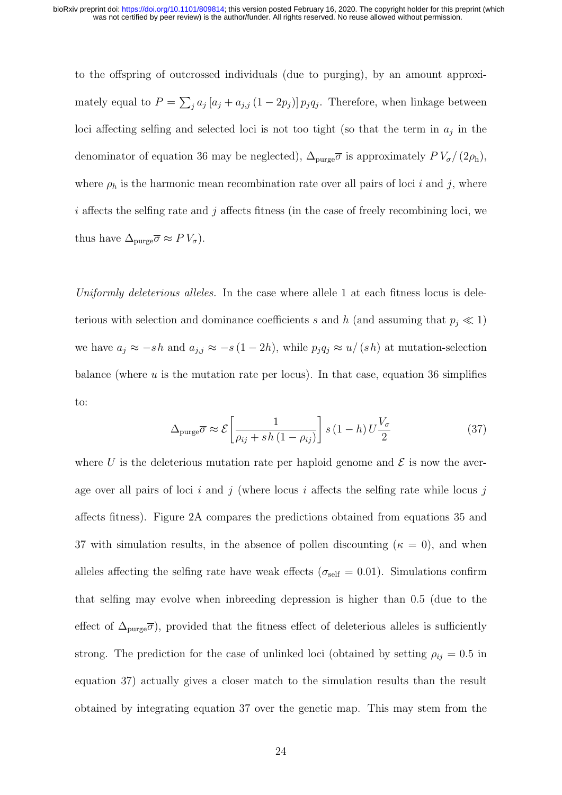to the offspring of outcrossed individuals (due to purging), by an amount approximately equal to  $P = \sum_j a_j [a_j + a_{j,j} (1 - 2p_j)] p_j q_j$ . Therefore, when linkage between loci affecting selfing and selected loci is not too tight (so that the term in  $a_j$  in the denominator of equation 36 may be neglected),  $\Delta_{\text{pure}}\overline{\sigma}$  is approximately  $PV_{\sigma}/(2\rho_{\text{h}})$ , where  $\rho_h$  is the harmonic mean recombination rate over all pairs of loci i and j, where  $i$  affects the selfing rate and  $j$  affects fitness (in the case of freely recombining loci, we thus have  $\Delta_{\text{pure}}\overline{\sigma} \approx P V_{\sigma}$ ).

Uniformly deleterious alleles. In the case where allele 1 at each fitness locus is deleterious with selection and dominance coefficients s and h (and assuming that  $p_j \ll 1$ ) we have  $a_j \approx -sh$  and  $a_{j,j} \approx -s(1-2h)$ , while  $p_j q_j \approx u/(sh)$  at mutation-selection balance (where  $u$  is the mutation rate per locus). In that case, equation 36 simplifies to:

$$
\Delta_{\text{pure}} \overline{\sigma} \approx \mathcal{E} \left[ \frac{1}{\rho_{ij} + sh \left( 1 - \rho_{ij} \right)} \right] s \left( 1 - h \right) U \frac{V_{\sigma}}{2} \tag{37}
$$

where U is the deleterious mutation rate per haploid genome and  $\mathcal E$  is now the average over all pairs of loci i and j (where locus i affects the selfing rate while locus j affects fitness). Figure 2A compares the predictions obtained from equations 35 and 37 with simulation results, in the absence of pollen discounting ( $\kappa = 0$ ), and when alleles affecting the selfing rate have weak effects ( $\sigma_{\text{self}} = 0.01$ ). Simulations confirm that selfing may evolve when inbreeding depression is higher than 0.5 (due to the effect of  $\Delta_{\text{pure}}\overline{\sigma}$ , provided that the fitness effect of deleterious alleles is sufficiently strong. The prediction for the case of unlinked loci (obtained by setting  $\rho_{ij} = 0.5$  in equation 37) actually gives a closer match to the simulation results than the result obtained by integrating equation 37 over the genetic map. This may stem from the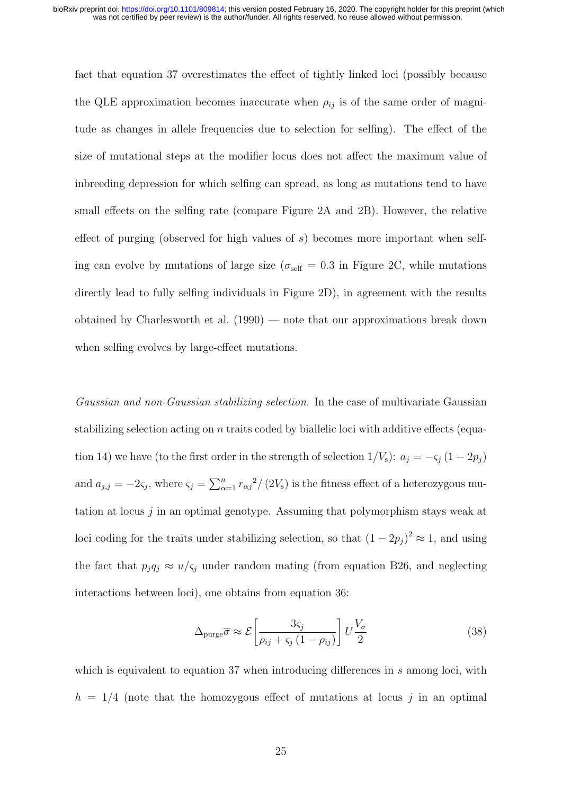fact that equation 37 overestimates the effect of tightly linked loci (possibly because the QLE approximation becomes inaccurate when  $\rho_{ij}$  is of the same order of magnitude as changes in allele frequencies due to selection for selfing). The effect of the size of mutational steps at the modifier locus does not affect the maximum value of inbreeding depression for which selfing can spread, as long as mutations tend to have small effects on the selfing rate (compare Figure 2A and 2B). However, the relative effect of purging (observed for high values of  $s$ ) becomes more important when selfing can evolve by mutations of large size ( $\sigma_{\text{self}} = 0.3$  in Figure 2C, while mutations directly lead to fully selfing individuals in Figure 2D), in agreement with the results obtained by Charlesworth et al. (1990) — note that our approximations break down when selfing evolves by large-effect mutations.

Gaussian and non-Gaussian stabilizing selection. In the case of multivariate Gaussian stabilizing selection acting on n traits coded by biallelic loci with additive effects (equation 14) we have (to the first order in the strength of selection  $1/V_s$ ):  $a_j = -\varsigma_j (1 - 2p_j)$ and  $a_{j,j} = -2\varsigma_j$ , where  $\varsigma_j = \sum_{\alpha=1}^n r_{\alpha j}^2 / (2V_s)$  is the fitness effect of a heterozygous mutation at locus  $j$  in an optimal genotype. Assuming that polymorphism stays weak at loci coding for the traits under stabilizing selection, so that  $(1 - 2p_j)^2 \approx 1$ , and using the fact that  $p_j q_j \approx u/\varsigma_j$  under random mating (from equation B26, and neglecting interactions between loci), one obtains from equation 36:

$$
\Delta_{\text{pure}} \overline{\sigma} \approx \mathcal{E} \left[ \frac{3\varsigma_j}{\rho_{ij} + \varsigma_j (1 - \rho_{ij})} \right] U \frac{V_\sigma}{2}
$$
\n(38)

which is equivalent to equation 37 when introducing differences in  $s$  among loci, with  $h = 1/4$  (note that the homozygous effect of mutations at locus j in an optimal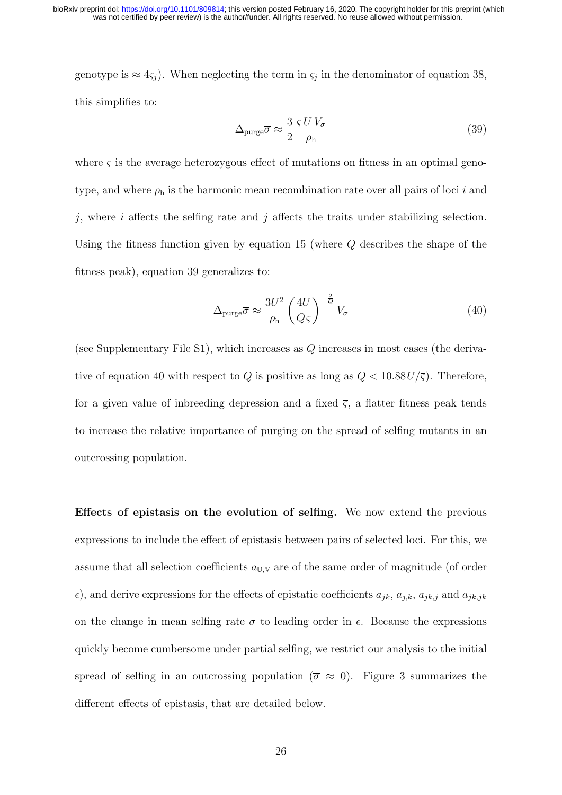genotype is  $\approx 4\varsigma_j$ ). When neglecting the term in  $\varsigma_j$  in the denominator of equation 38, this simplifies to:

$$
\Delta_{\text{pure}} \overline{\sigma} \approx \frac{3}{2} \frac{\overline{\varsigma} \, UV_{\sigma}}{\rho_{\text{h}}} \tag{39}
$$

where  $\overline{\varsigma}$  is the average heterozygous effect of mutations on fitness in an optimal genotype, and where  $\rho_h$  is the harmonic mean recombination rate over all pairs of loci i and  $j$ , where  $i$  affects the selfing rate and  $j$  affects the traits under stabilizing selection. Using the fitness function given by equation 15 (where Q describes the shape of the fitness peak), equation 39 generalizes to:

$$
\Delta_{\text{pure}} \overline{\sigma} \approx \frac{3U^2}{\rho_{\text{h}}} \left(\frac{4U}{Q\overline{\varsigma}}\right)^{-\frac{2}{Q}} V_{\sigma}
$$
\n(40)

(see Supplementary File S1), which increases as  $Q$  increases in most cases (the derivative of equation 40 with respect to Q is positive as long as  $Q < 10.88U/\overline{\varsigma}$ ). Therefore, for a given value of inbreeding depression and a fixed  $\overline{\varsigma}$ , a flatter fitness peak tends to increase the relative importance of purging on the spread of selfing mutants in an outcrossing population.

Effects of epistasis on the evolution of selfing. We now extend the previous expressions to include the effect of epistasis between pairs of selected loci. For this, we assume that all selection coefficients  $a_{\text{U,V}}$  are of the same order of magnitude (of order  $\epsilon$ ), and derive expressions for the effects of epistatic coefficients  $a_{jk}$ ,  $a_{jk}$ ,  $a_{jk}$ , and  $a_{jk,jk}$ on the change in mean selfing rate  $\bar{\sigma}$  to leading order in  $\epsilon$ . Because the expressions quickly become cumbersome under partial selfing, we restrict our analysis to the initial spread of selfing in an outcrossing population ( $\bar{\sigma} \approx 0$ ). Figure 3 summarizes the different effects of epistasis, that are detailed below.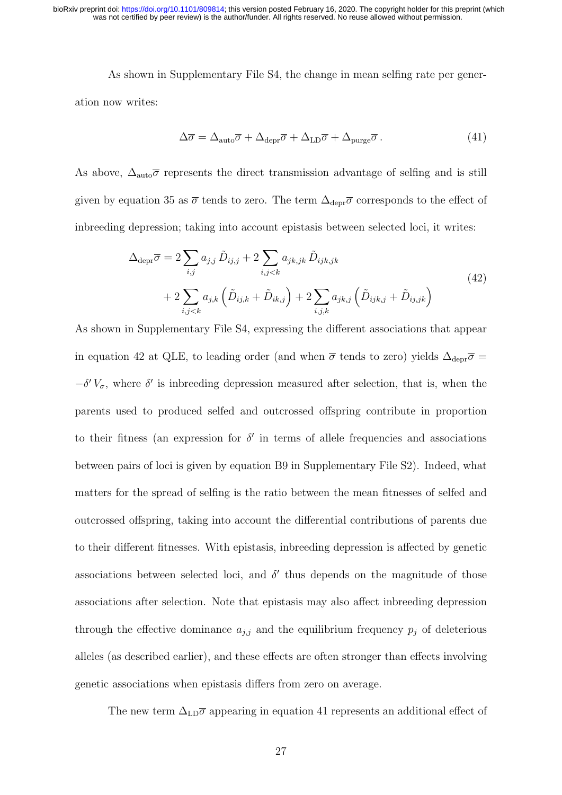As shown in Supplementary File S4, the change in mean selfing rate per generation now writes:

$$
\Delta \overline{\sigma} = \Delta_{\text{auto}} \overline{\sigma} + \Delta_{\text{depr}} \overline{\sigma} + \Delta_{\text{LD}} \overline{\sigma} + \Delta_{\text{pure}} \overline{\sigma} . \tag{41}
$$

As above,  $\Delta_{\text{auto}}\overline{\sigma}$  represents the direct transmission advantage of selfing and is still given by equation 35 as  $\overline{\sigma}$  tends to zero. The term  $\Delta_{\text{depr}}\overline{\sigma}$  corresponds to the effect of inbreeding depression; taking into account epistasis between selected loci, it writes:

$$
\Delta_{\text{depr}} \overline{\sigma} = 2 \sum_{i,j} a_{j,j} \tilde{D}_{ij,j} + 2 \sum_{i,j < k} a_{jk,jk} \tilde{D}_{ijk,jk} \n+ 2 \sum_{i,j < k} a_{j,k} \left( \tilde{D}_{ij,k} + \tilde{D}_{ik,j} \right) + 2 \sum_{i,j,k} a_{jk,j} \left( \tilde{D}_{ijk,j} + \tilde{D}_{ij,jk} \right)
$$
\n(42)

As shown in Supplementary File S4, expressing the different associations that appear in equation 42 at QLE, to leading order (and when  $\bar{\sigma}$  tends to zero) yields  $\Delta_{\text{depr}}\bar{\sigma}$  =  $-\delta' V_{\sigma}$ , where  $\delta'$  is inbreeding depression measured after selection, that is, when the parents used to produced selfed and outcrossed offspring contribute in proportion to their fitness (an expression for  $\delta'$  in terms of allele frequencies and associations between pairs of loci is given by equation B9 in Supplementary File S2). Indeed, what matters for the spread of selfing is the ratio between the mean fitnesses of selfed and outcrossed offspring, taking into account the differential contributions of parents due to their different fitnesses. With epistasis, inbreeding depression is affected by genetic associations between selected loci, and  $\delta'$  thus depends on the magnitude of those associations after selection. Note that epistasis may also affect inbreeding depression through the effective dominance  $a_{j,j}$  and the equilibrium frequency  $p_j$  of deleterious alleles (as described earlier), and these effects are often stronger than effects involving genetic associations when epistasis differs from zero on average.

The new term  $\Delta_{\text{LD}}\overline{\sigma}$  appearing in equation 41 represents an additional effect of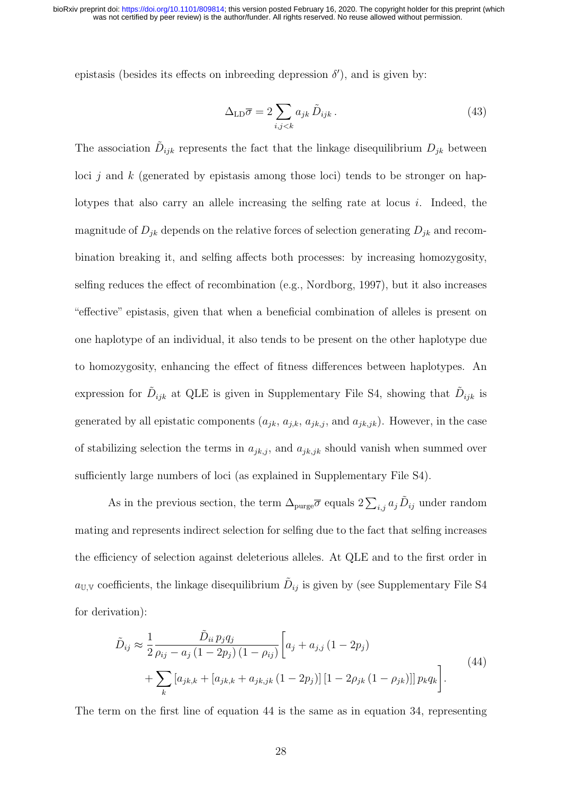epistasis (besides its effects on inbreeding depression  $\delta'$ ), and is given by:

$$
\Delta_{\text{LD}}\overline{\sigma} = 2\sum_{i,j < k} a_{jk} \,\tilde{D}_{ijk} \,. \tag{43}
$$

The association  $\tilde{D}_{ijk}$  represents the fact that the linkage disequilibrium  $D_{jk}$  between loci  $j$  and k (generated by epistasis among those loci) tends to be stronger on haplotypes that also carry an allele increasing the selfing rate at locus i. Indeed, the magnitude of  $D_{jk}$  depends on the relative forces of selection generating  $D_{jk}$  and recombination breaking it, and selfing affects both processes: by increasing homozygosity, selfing reduces the effect of recombination (e.g., Nordborg, 1997), but it also increases "effective" epistasis, given that when a beneficial combination of alleles is present on one haplotype of an individual, it also tends to be present on the other haplotype due to homozygosity, enhancing the effect of fitness differences between haplotypes. An expression for  $\tilde{D}_{ijk}$  at QLE is given in Supplementary File S4, showing that  $\tilde{D}_{ijk}$  is generated by all epistatic components  $(a_{jk}, a_{j,k}, a_{jk,j},$  and  $a_{jk,jk})$ . However, in the case of stabilizing selection the terms in  $a_{jk,j}$ , and  $a_{jk,jk}$  should vanish when summed over sufficiently large numbers of loci (as explained in Supplementary File S4).

As in the previous section, the term  $\Delta_{\text{pure}}\overline{\sigma}$  equals  $2\sum_{i,j}a_j\tilde{D}_{ij}$  under random mating and represents indirect selection for selfing due to the fact that selfing increases the efficiency of selection against deleterious alleles. At QLE and to the first order in  $a_{\text{U,V}}$  coefficients, the linkage disequilibrium  $\tilde{D}_{ij}$  is given by (see Supplementary File S4 for derivation):

$$
\tilde{D}_{ij} \approx \frac{1}{2} \frac{\tilde{D}_{ii} p_j q_j}{\rho_{ij} - a_j (1 - 2p_j) (1 - \rho_{ij})} \left[ a_j + a_{j,j} (1 - 2p_j) + \sum_k \left[ a_{jk,k} + \left[ a_{jk,k} + a_{jk,jk} (1 - 2p_j) \right] \left[ 1 - 2\rho_{jk} (1 - \rho_{jk}) \right] \right] p_k q_k \right].
$$
\n(44)

The term on the first line of equation 44 is the same as in equation 34, representing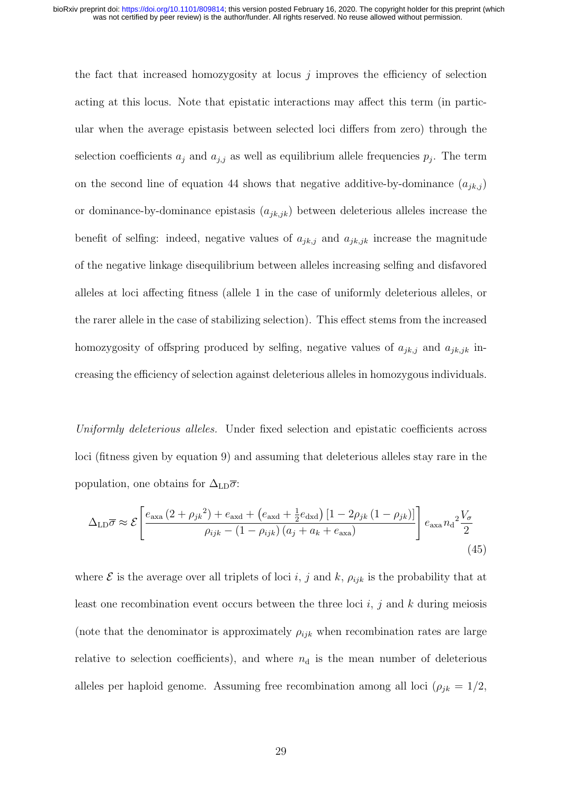the fact that increased homozygosity at locus  $j$  improves the efficiency of selection acting at this locus. Note that epistatic interactions may affect this term (in particular when the average epistasis between selected loci differs from zero) through the selection coefficients  $a_j$  and  $a_{j,j}$  as well as equilibrium allele frequencies  $p_j$ . The term on the second line of equation 44 shows that negative additive-by-dominance  $(a_{jk,j})$ or dominance-by-dominance epistasis  $(a_{jk,jk})$  between deleterious alleles increase the benefit of selfing: indeed, negative values of  $a_{jk,j}$  and  $a_{jk,jk}$  increase the magnitude of the negative linkage disequilibrium between alleles increasing selfing and disfavored alleles at loci affecting fitness (allele 1 in the case of uniformly deleterious alleles, or the rarer allele in the case of stabilizing selection). This effect stems from the increased homozygosity of offspring produced by selfing, negative values of  $a_{jk,j}$  and  $a_{jk,jk}$  increasing the efficiency of selection against deleterious alleles in homozygous individuals.

Uniformly deleterious alleles. Under fixed selection and epistatic coefficients across loci (fitness given by equation 9) and assuming that deleterious alleles stay rare in the population, one obtains for  $\Delta_{LD}\bar{\sigma}$ :

$$
\Delta_{\rm LD}\overline{\sigma} \approx \mathcal{E}\left[\frac{e_{\rm axa}\left(2+\rho_{jk}^2\right)+e_{\rm axd}+\left(e_{\rm axd}+\frac{1}{2}e_{\rm dxd}\right)\left[1-2\rho_{jk}\left(1-\rho_{jk}\right)\right]}{\rho_{ijk}-\left(1-\rho_{ijk}\right)\left(a_j+a_k+e_{\rm axa}\right)}\right]e_{\rm axa}n_{\rm d}^2\frac{V_{\sigma}}{2}
$$
\n(45)

where  $\mathcal E$  is the average over all triplets of loci i, j and k,  $\rho_{ijk}$  is the probability that at least one recombination event occurs between the three loci  $i, j$  and  $k$  during meiosis (note that the denominator is approximately  $\rho_{ijk}$  when recombination rates are large relative to selection coefficients), and where  $n_d$  is the mean number of deleterious alleles per haploid genome. Assuming free recombination among all loci ( $\rho_{jk} = 1/2$ ,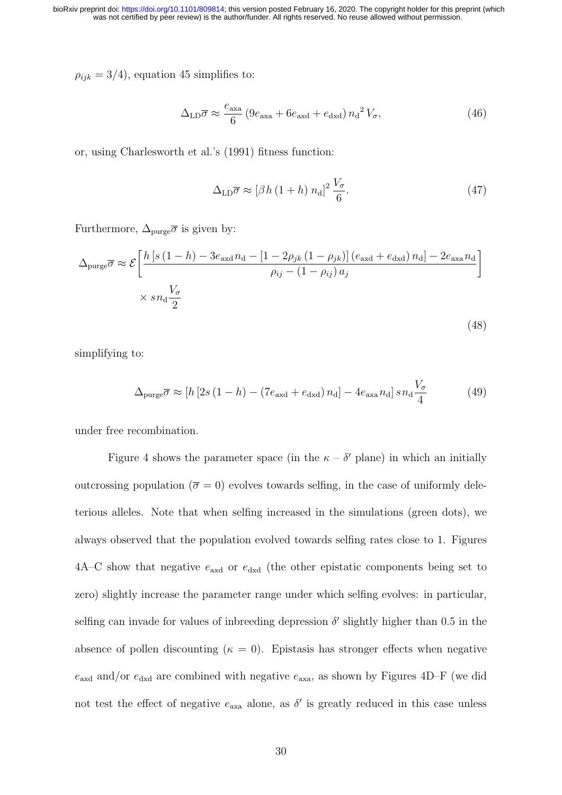$\rho_{ijk} = 3/4$ , equation 45 simplifies to:

$$
\Delta_{\rm LD}\overline{\sigma} \approx \frac{e_{\rm axa}}{6} \left(9e_{\rm axa} + 6e_{\rm axd} + e_{\rm dxd}\right) n_{\rm d}{}^2 V_{\sigma},\tag{46}
$$

or, using Charlesworth et al.'s (1991) fitness function:

$$
\Delta_{\rm LD}\overline{\sigma} \approx \left[\beta h \left(1+h\right) n_{\rm d}\right]^2 \frac{V_{\sigma}}{6}.\tag{47}
$$

(48)

Furthermore,  $\Delta_{\text{pure}}\overline{\sigma}$  is given by:

$$
\Delta_{\text{pure}} \overline{\sigma} \approx \mathcal{E} \left[ \frac{h \left[ s \left( 1 - h \right) - 3e_{\text{axd}} n_{\text{d}} - \left[ 1 - 2\rho_{jk} \left( 1 - \rho_{jk} \right) \right] \left( e_{\text{axd}} + e_{\text{dxd}} \right) n_{\text{d}} \right] - 2e_{\text{axa}} n_{\text{d}}}{\rho_{ij} - \left( 1 - \rho_{ij} \right) a_j} \right]
$$
  
\$\times s n\_{\text{d}} \frac{V\_{\sigma}}{2}\$

simplifying to:

$$
\Delta_{\text{pure}} \overline{\sigma} \approx [h \left[2s \left(1 - h\right) - \left(7e_{\text{axd}} + e_{\text{dxd}}\right) n_{\text{d}}\right] - 4e_{\text{axa}} n_{\text{d}}] \, s n_{\text{d}} \frac{V_{\sigma}}{4} \tag{49}
$$

under free recombination.

Figure 4 shows the parameter space (in the  $\kappa - \delta'$  plane) in which an initially outcrossing population ( $\bar{\sigma} = 0$ ) evolves towards selfing, in the case of uniformly deleterious alleles. Note that when selfing increased in the simulations (green dots), we always observed that the population evolved towards selfing rates close to 1. Figures  $4A-C$  show that negative  $e_{\text{axd}}$  or  $e_{\text{dxd}}$  (the other epistatic components being set to zero) slightly increase the parameter range under which selfing evolves: in particular, selfing can invade for values of inbreeding depression  $\delta'$  slightly higher than 0.5 in the absence of pollen discounting ( $\kappa = 0$ ). Epistasis has stronger effects when negative  $e_{\rm axd}$  and/or  $e_{\rm dxd}$  are combined with negative  $e_{\rm axa}$ , as shown by Figures 4D–F (we did not test the effect of negative  $e_{\text{axa}}$  alone, as  $\delta'$  is greatly reduced in this case unless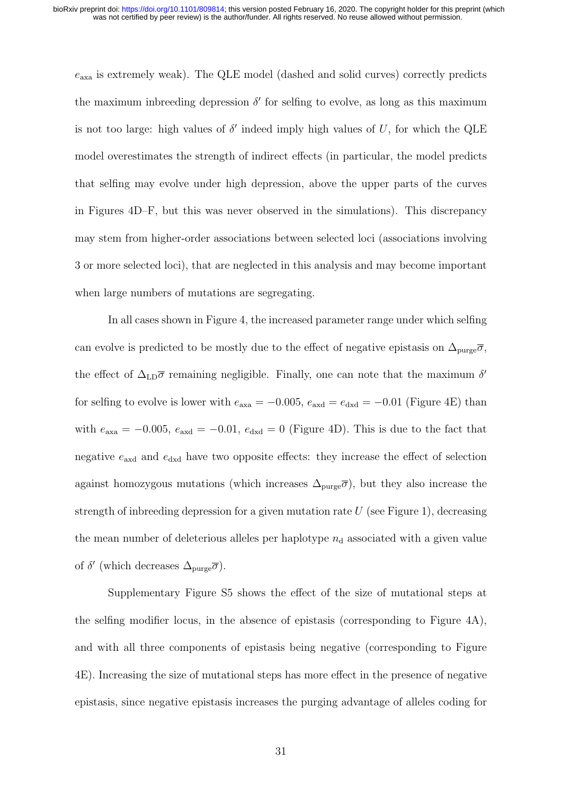$e_{\text{axa}}$  is extremely weak). The QLE model (dashed and solid curves) correctly predicts the maximum inbreeding depression  $\delta'$  for selfing to evolve, as long as this maximum is not too large: high values of  $\delta'$  indeed imply high values of U, for which the QLE model overestimates the strength of indirect effects (in particular, the model predicts that selfing may evolve under high depression, above the upper parts of the curves in Figures 4D–F, but this was never observed in the simulations). This discrepancy may stem from higher-order associations between selected loci (associations involving 3 or more selected loci), that are neglected in this analysis and may become important when large numbers of mutations are segregating.

In all cases shown in Figure 4, the increased parameter range under which selfing can evolve is predicted to be mostly due to the effect of negative epistasis on  $\Delta_{\text{pure}}\overline{\sigma}$ , the effect of  $\Delta_{LD}\overline{\sigma}$  remaining negligible. Finally, one can note that the maximum  $\delta'$ for selfing to evolve is lower with  $e_{\text{axa}} = -0.005$ ,  $e_{\text{axd}} = e_{\text{dxd}} = -0.01$  (Figure 4E) than with  $e_{\text{axa}} = -0.005$ ,  $e_{\text{axd}} = -0.01$ ,  $e_{\text{dxd}} = 0$  (Figure 4D). This is due to the fact that negative  $e_{\text{axd}}$  and  $e_{\text{dxd}}$  have two opposite effects: they increase the effect of selection against homozygous mutations (which increases  $\Delta_{\text{pure}}\overline{\sigma}$ ), but they also increase the strength of inbreeding depression for a given mutation rate  $U$  (see Figure 1), decreasing the mean number of deleterious alleles per haplotype  $n_d$  associated with a given value of  $\delta'$  (which decreases  $\Delta_{\text{pure}}\overline{\sigma}$ ).

Supplementary Figure S5 shows the effect of the size of mutational steps at the selfing modifier locus, in the absence of epistasis (corresponding to Figure 4A), and with all three components of epistasis being negative (corresponding to Figure 4E). Increasing the size of mutational steps has more effect in the presence of negative epistasis, since negative epistasis increases the purging advantage of alleles coding for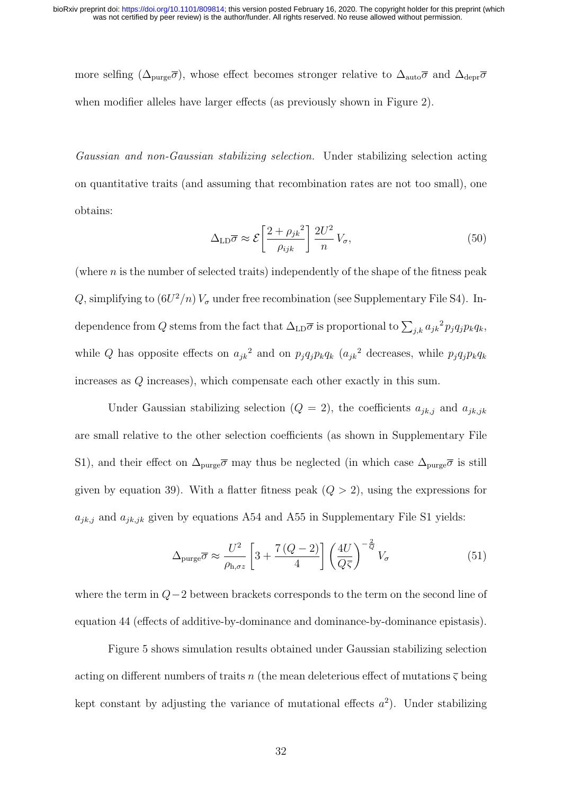more selfing ( $\Delta_{\text{pure}}\overline{\sigma}$ ), whose effect becomes stronger relative to  $\Delta_{\text{auto}}\overline{\sigma}$  and  $\Delta_{\text{depr}}\overline{\sigma}$ when modifier alleles have larger effects (as previously shown in Figure 2).

Gaussian and non-Gaussian stabilizing selection. Under stabilizing selection acting on quantitative traits (and assuming that recombination rates are not too small), one obtains:

$$
\Delta_{\rm LD}\overline{\sigma} \approx \mathcal{E}\left[\frac{2+\rho_{jk}^2}{\rho_{ijk}}\right] \frac{2U^2}{n} V_{\sigma},\tag{50}
$$

(where  $n$  is the number of selected traits) independently of the shape of the fitness peak Q, simplifying to  $(6U^2/n) V_{\sigma}$  under free recombination (see Supplementary File S4). Independence from Q stems from the fact that  $\Delta_{LD}\overline{\sigma}$  is proportional to  $\sum_{j,k} a_{jk}^2 p_j q_j p_k q_k$ , while Q has opposite effects on  $a_{jk}^2$  and on  $p_j q_j p_k q_k$  ( $a_{jk}^2$  decreases, while  $p_j q_j p_k q_k$ increases as Q increases), which compensate each other exactly in this sum.

Under Gaussian stabilizing selection  $(Q = 2)$ , the coefficients  $a_{jk,j}$  and  $a_{jk,jk}$ are small relative to the other selection coefficients (as shown in Supplementary File S1), and their effect on  $\Delta_{\text{pure}}\overline{\sigma}$  may thus be neglected (in which case  $\Delta_{\text{pure}}\overline{\sigma}$  is still given by equation 39). With a flatter fitness peak  $(Q > 2)$ , using the expressions for  $a_{jk,j}$  and  $a_{jk,jk}$  given by equations A54 and A55 in Supplementary File S1 yields:

$$
\Delta_{\text{pure}} \overline{\sigma} \approx \frac{U^2}{\rho_{\text{h},\sigma z}} \left[ 3 + \frac{7(Q-2)}{4} \right] \left( \frac{4U}{Q\overline{\varsigma}} \right)^{-\frac{2}{Q}} V_{\sigma}
$$
(51)

where the term in  $Q-2$  between brackets corresponds to the term on the second line of equation 44 (effects of additive-by-dominance and dominance-by-dominance epistasis).

Figure 5 shows simulation results obtained under Gaussian stabilizing selection acting on different numbers of traits n (the mean deleterious effect of mutations  $\overline{\varsigma}$  being kept constant by adjusting the variance of mutational effects  $a^2$ ). Under stabilizing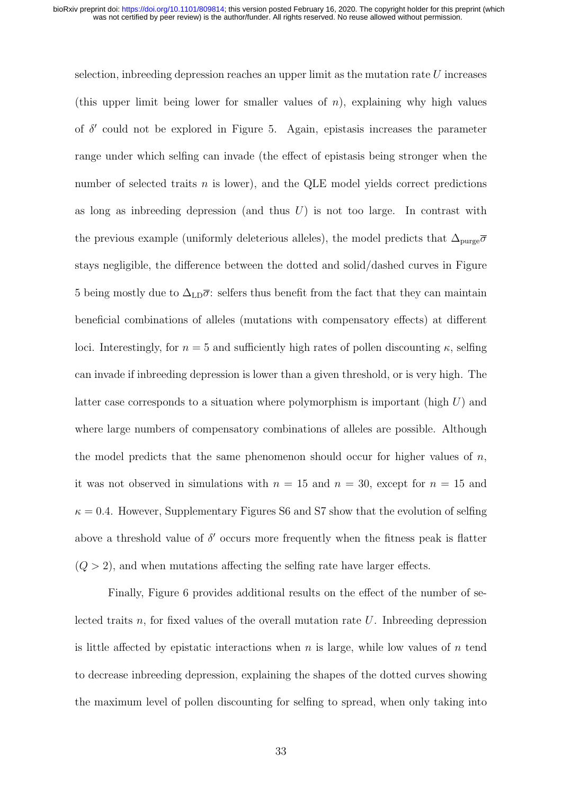selection, indreasing depression reaches an upper limit as the mutation rate  $U$  increases (this upper limit being lower for smaller values of  $n$ ), explaining why high values of  $\delta'$  could not be explored in Figure 5. Again, epistasis increases the parameter range under which selfing can invade (the effect of epistasis being stronger when the number of selected traits  $n$  is lower), and the QLE model yields correct predictions as long as indreading depression (and thus  $U$ ) is not too large. In contrast with the previous example (uniformly deleterious alleles), the model predicts that  $\Delta_{\text{pure}}\overline{\sigma}$ stays negligible, the difference between the dotted and solid/dashed curves in Figure 5 being mostly due to  $\Delta_{LD}\bar{\sigma}$ : selfers thus benefit from the fact that they can maintain beneficial combinations of alleles (mutations with compensatory effects) at different loci. Interestingly, for  $n = 5$  and sufficiently high rates of pollen discounting  $\kappa$ , selfing can invade if inbreeding depression is lower than a given threshold, or is very high. The latter case corresponds to a situation where polymorphism is important (high  $U$ ) and where large numbers of compensatory combinations of alleles are possible. Although the model predicts that the same phenomenon should occur for higher values of  $n$ , it was not observed in simulations with  $n = 15$  and  $n = 30$ , except for  $n = 15$  and  $\kappa = 0.4$ . However, Supplementary Figures S6 and S7 show that the evolution of selfing above a threshold value of  $\delta'$  occurs more frequently when the fitness peak is flatter  $(Q > 2)$ , and when mutations affecting the selfing rate have larger effects.

Finally, Figure 6 provides additional results on the effect of the number of selected traits n, for fixed values of the overall mutation rate  $U$ . Independing depression is little affected by epistatic interactions when  $n$  is large, while low values of  $n$  tend to decrease inbreeding depression, explaining the shapes of the dotted curves showing the maximum level of pollen discounting for selfing to spread, when only taking into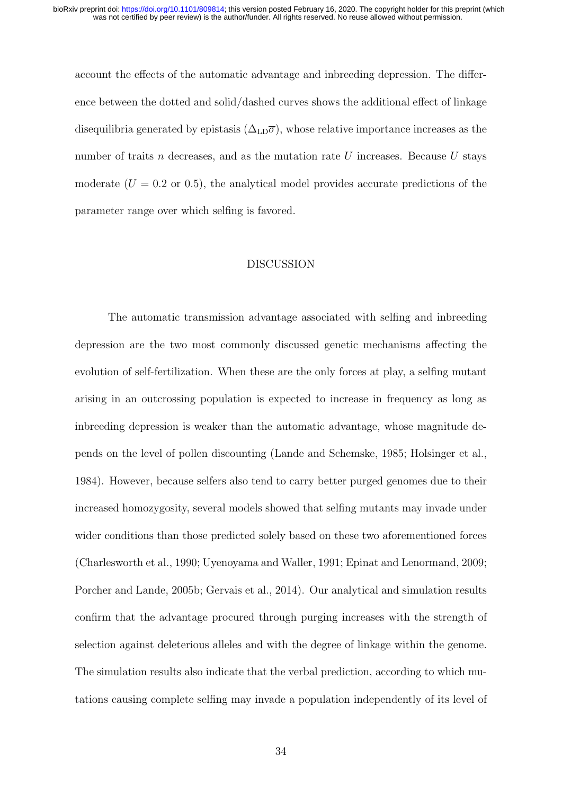account the effects of the automatic advantage and inbreeding depression. The difference between the dotted and solid/dashed curves shows the additional effect of linkage disequilibria generated by epistasis  $(\Delta_{\text{LD}}\overline{\sigma})$ , whose relative importance increases as the number of traits n decreases, and as the mutation rate U increases. Because U stays moderate  $(U = 0.2 \text{ or } 0.5)$ , the analytical model provides accurate predictions of the parameter range over which selfing is favored.

# DISCUSSION

The automatic transmission advantage associated with selfing and inbreeding depression are the two most commonly discussed genetic mechanisms affecting the evolution of self-fertilization. When these are the only forces at play, a selfing mutant arising in an outcrossing population is expected to increase in frequency as long as inbreeding depression is weaker than the automatic advantage, whose magnitude depends on the level of pollen discounting (Lande and Schemske, 1985; Holsinger et al., 1984). However, because selfers also tend to carry better purged genomes due to their increased homozygosity, several models showed that selfing mutants may invade under wider conditions than those predicted solely based on these two aforementioned forces (Charlesworth et al., 1990; Uyenoyama and Waller, 1991; Epinat and Lenormand, 2009; Porcher and Lande, 2005b; Gervais et al., 2014). Our analytical and simulation results confirm that the advantage procured through purging increases with the strength of selection against deleterious alleles and with the degree of linkage within the genome. The simulation results also indicate that the verbal prediction, according to which mutations causing complete selfing may invade a population independently of its level of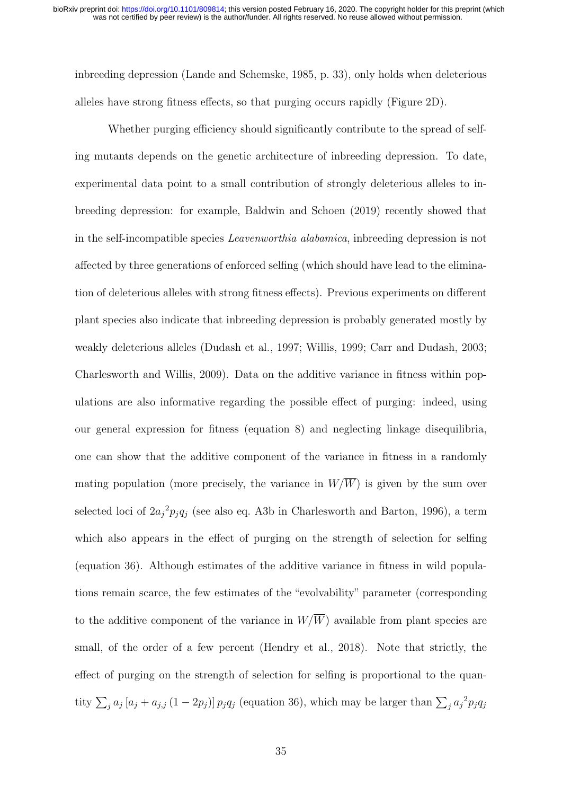inbreeding depression (Lande and Schemske, 1985, p. 33), only holds when deleterious alleles have strong fitness effects, so that purging occurs rapidly (Figure 2D).

Whether purging efficiency should significantly contribute to the spread of selfing mutants depends on the genetic architecture of inbreeding depression. To date, experimental data point to a small contribution of strongly deleterious alleles to inbreeding depression: for example, Baldwin and Schoen (2019) recently showed that in the self-incompatible species Leavenworthia alabamica, inbreeding depression is not affected by three generations of enforced selfing (which should have lead to the elimination of deleterious alleles with strong fitness effects). Previous experiments on different plant species also indicate that inbreeding depression is probably generated mostly by weakly deleterious alleles (Dudash et al., 1997; Willis, 1999; Carr and Dudash, 2003; Charlesworth and Willis, 2009). Data on the additive variance in fitness within populations are also informative regarding the possible effect of purging: indeed, using our general expression for fitness (equation 8) and neglecting linkage disequilibria, one can show that the additive component of the variance in fitness in a randomly mating population (more precisely, the variance in  $W/\overline{W}$ ) is given by the sum over selected loci of  $2a_j^2 p_j q_j$  (see also eq. A3b in Charlesworth and Barton, 1996), a term which also appears in the effect of purging on the strength of selection for selfing (equation 36). Although estimates of the additive variance in fitness in wild populations remain scarce, the few estimates of the "evolvability" parameter (corresponding to the additive component of the variance in  $W/\overline{W}$  available from plant species are small, of the order of a few percent (Hendry et al., 2018). Note that strictly, the effect of purging on the strength of selection for selfing is proportional to the quantity  $\sum_j a_j [a_j + a_{j,j} (1 - 2p_j)] p_j q_j$  (equation 36), which may be larger than  $\sum_j a_j^2 p_j q_j$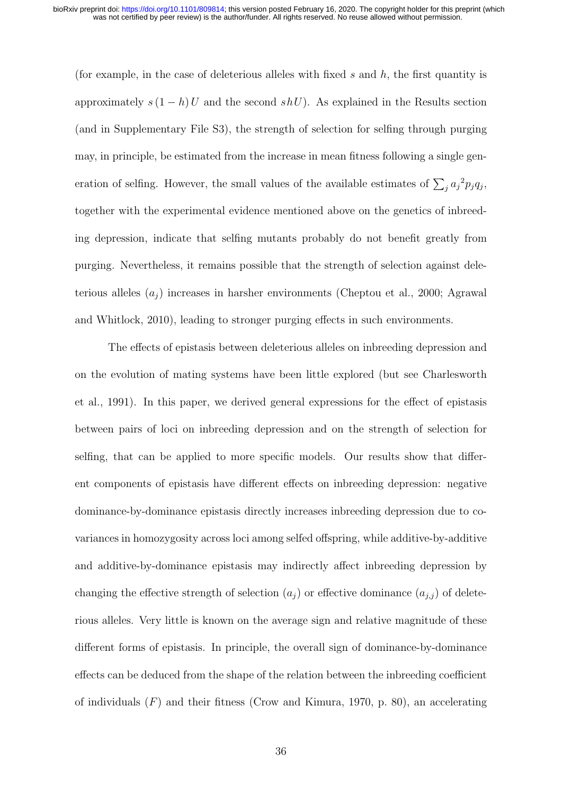(for example, in the case of deleterious alleles with fixed s and  $h$ , the first quantity is approximately  $s(1-h)U$  and the second  $shU$ ). As explained in the Results section (and in Supplementary File S3), the strength of selection for selfing through purging may, in principle, be estimated from the increase in mean fitness following a single generation of selfing. However, the small values of the available estimates of  $\sum_j a_j^2 p_j q_j$ , together with the experimental evidence mentioned above on the genetics of inbreeding depression, indicate that selfing mutants probably do not benefit greatly from purging. Nevertheless, it remains possible that the strength of selection against deleterious alleles  $(a_i)$  increases in harsher environments (Cheptou et al., 2000; Agrawal and Whitlock, 2010), leading to stronger purging effects in such environments.

The effects of epistasis between deleterious alleles on inbreeding depression and on the evolution of mating systems have been little explored (but see Charlesworth et al., 1991). In this paper, we derived general expressions for the effect of epistasis between pairs of loci on inbreeding depression and on the strength of selection for selfing, that can be applied to more specific models. Our results show that different components of epistasis have different effects on inbreeding depression: negative dominance-by-dominance epistasis directly increases inbreeding depression due to covariances in homozygosity across loci among selfed offspring, while additive-by-additive and additive-by-dominance epistasis may indirectly affect inbreeding depression by changing the effective strength of selection  $(a_j)$  or effective dominance  $(a_{j,j})$  of deleterious alleles. Very little is known on the average sign and relative magnitude of these different forms of epistasis. In principle, the overall sign of dominance-by-dominance effects can be deduced from the shape of the relation between the inbreeding coefficient of individuals  $(F)$  and their fitness (Crow and Kimura, 1970, p. 80), an accelerating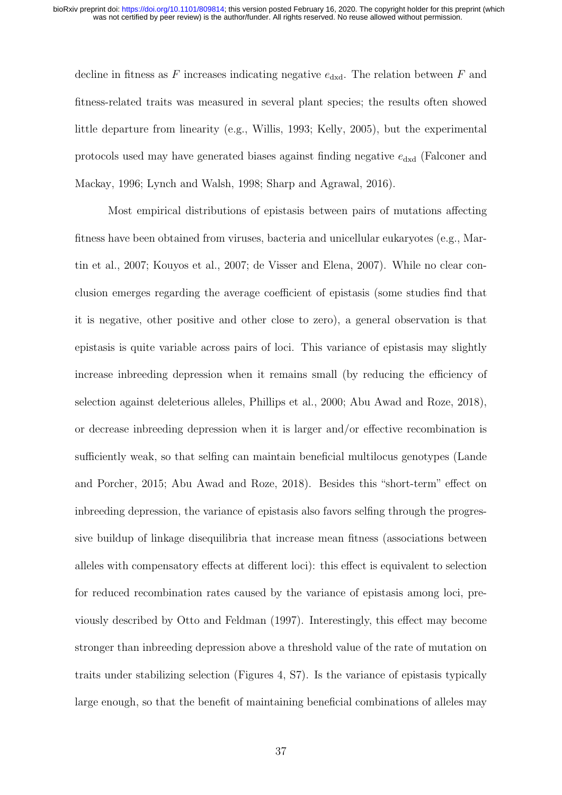decline in fitness as F increases indicating negative  $e_{\text{dxd}}$ . The relation between F and fitness-related traits was measured in several plant species; the results often showed little departure from linearity (e.g., Willis, 1993; Kelly, 2005), but the experimental protocols used may have generated biases against finding negative  $e_{dxd}$  (Falconer and Mackay, 1996; Lynch and Walsh, 1998; Sharp and Agrawal, 2016).

Most empirical distributions of epistasis between pairs of mutations affecting fitness have been obtained from viruses, bacteria and unicellular eukaryotes (e.g., Martin et al., 2007; Kouyos et al., 2007; de Visser and Elena, 2007). While no clear conclusion emerges regarding the average coefficient of epistasis (some studies find that it is negative, other positive and other close to zero), a general observation is that epistasis is quite variable across pairs of loci. This variance of epistasis may slightly increase inbreeding depression when it remains small (by reducing the efficiency of selection against deleterious alleles, Phillips et al., 2000; Abu Awad and Roze, 2018), or decrease inbreeding depression when it is larger and/or effective recombination is sufficiently weak, so that selfing can maintain beneficial multilocus genotypes (Lande and Porcher, 2015; Abu Awad and Roze, 2018). Besides this "short-term" effect on inbreeding depression, the variance of epistasis also favors selfing through the progressive buildup of linkage disequilibria that increase mean fitness (associations between alleles with compensatory effects at different loci): this effect is equivalent to selection for reduced recombination rates caused by the variance of epistasis among loci, previously described by Otto and Feldman (1997). Interestingly, this effect may become stronger than inbreeding depression above a threshold value of the rate of mutation on traits under stabilizing selection (Figures 4, S7). Is the variance of epistasis typically large enough, so that the benefit of maintaining beneficial combinations of alleles may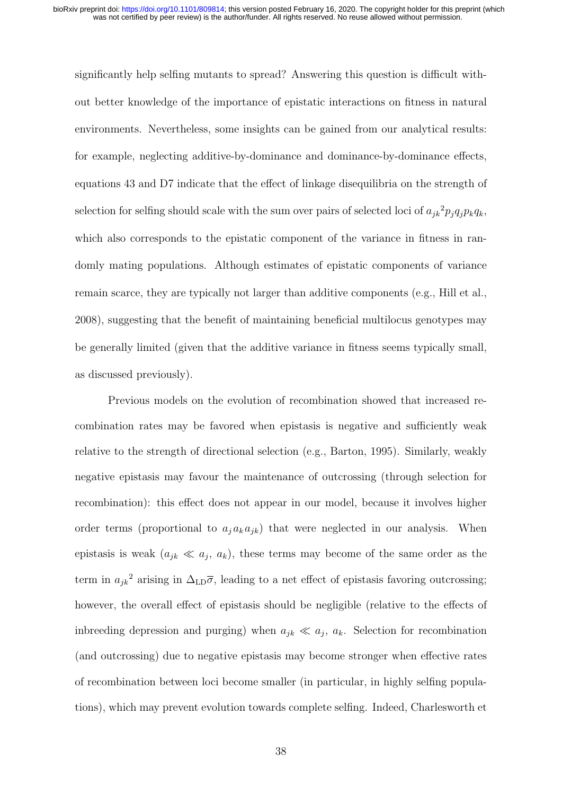significantly help selfing mutants to spread? Answering this question is difficult without better knowledge of the importance of epistatic interactions on fitness in natural environments. Nevertheless, some insights can be gained from our analytical results: for example, neglecting additive-by-dominance and dominance-by-dominance effects, equations 43 and D7 indicate that the effect of linkage disequilibria on the strength of selection for selfing should scale with the sum over pairs of selected loci of  $a_{jk}^2 p_j q_j p_k q_k$ , which also corresponds to the epistatic component of the variance in fitness in randomly mating populations. Although estimates of epistatic components of variance remain scarce, they are typically not larger than additive components (e.g., Hill et al., 2008), suggesting that the benefit of maintaining beneficial multilocus genotypes may be generally limited (given that the additive variance in fitness seems typically small, as discussed previously).

Previous models on the evolution of recombination showed that increased recombination rates may be favored when epistasis is negative and sufficiently weak relative to the strength of directional selection (e.g., Barton, 1995). Similarly, weakly negative epistasis may favour the maintenance of outcrossing (through selection for recombination): this effect does not appear in our model, because it involves higher order terms (proportional to  $a_j a_k a_{jk}$ ) that were neglected in our analysis. When epistasis is weak  $(a_{jk} \ll a_j, a_k)$ , these terms may become of the same order as the term in  $a_{jk}^2$  arising in  $\Delta_{LD}\overline{\sigma}$ , leading to a net effect of epistasis favoring outcrossing; however, the overall effect of epistasis should be negligible (relative to the effects of indreeding depression and purging) when  $a_{jk} \ll a_j$ ,  $a_k$ . Selection for recombination (and outcrossing) due to negative epistasis may become stronger when effective rates of recombination between loci become smaller (in particular, in highly selfing populations), which may prevent evolution towards complete selfing. Indeed, Charlesworth et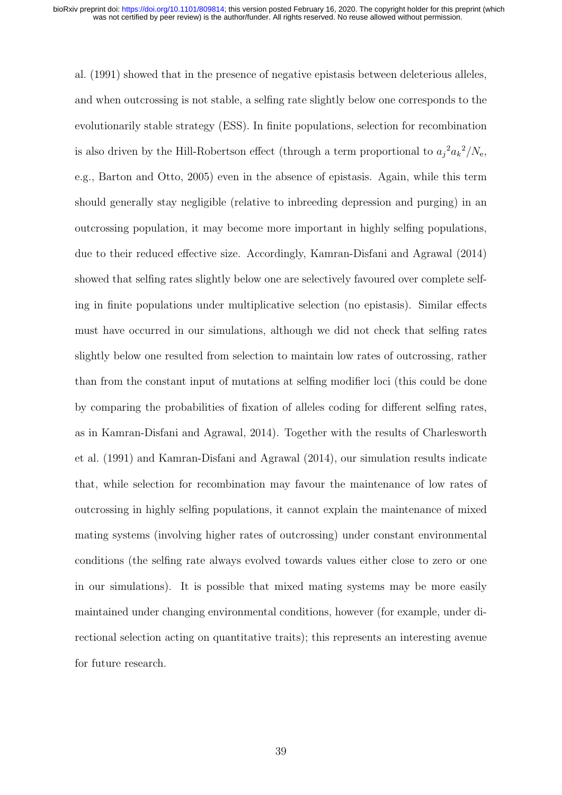al. (1991) showed that in the presence of negative epistasis between deleterious alleles, and when outcrossing is not stable, a selfing rate slightly below one corresponds to the evolutionarily stable strategy (ESS). In finite populations, selection for recombination is also driven by the Hill-Robertson effect (through a term proportional to  $a_j^2 a_k^2/N_e$ , e.g., Barton and Otto, 2005) even in the absence of epistasis. Again, while this term should generally stay negligible (relative to inbreeding depression and purging) in an outcrossing population, it may become more important in highly selfing populations, due to their reduced effective size. Accordingly, Kamran-Disfani and Agrawal (2014) showed that selfing rates slightly below one are selectively favoured over complete selfing in finite populations under multiplicative selection (no epistasis). Similar effects must have occurred in our simulations, although we did not check that selfing rates slightly below one resulted from selection to maintain low rates of outcrossing, rather than from the constant input of mutations at selfing modifier loci (this could be done by comparing the probabilities of fixation of alleles coding for different selfing rates, as in Kamran-Disfani and Agrawal, 2014). Together with the results of Charlesworth et al. (1991) and Kamran-Disfani and Agrawal (2014), our simulation results indicate that, while selection for recombination may favour the maintenance of low rates of outcrossing in highly selfing populations, it cannot explain the maintenance of mixed mating systems (involving higher rates of outcrossing) under constant environmental conditions (the selfing rate always evolved towards values either close to zero or one in our simulations). It is possible that mixed mating systems may be more easily maintained under changing environmental conditions, however (for example, under directional selection acting on quantitative traits); this represents an interesting avenue for future research.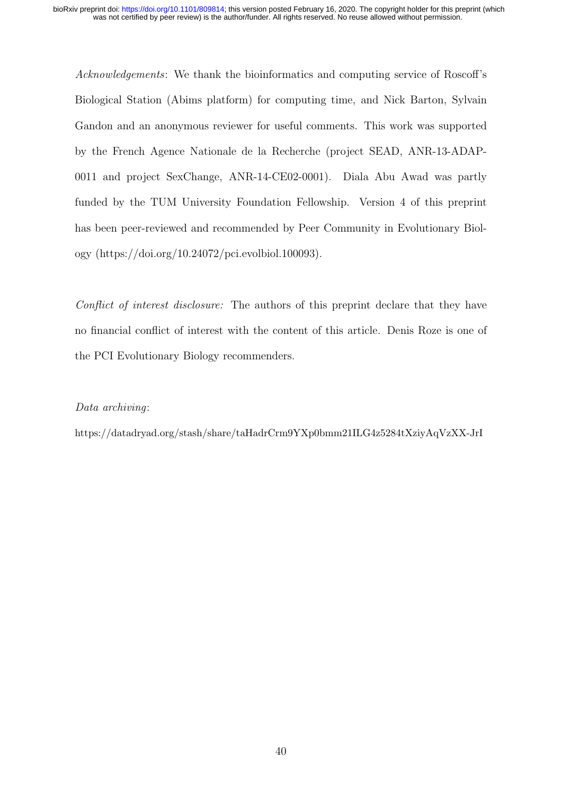Acknowledgements: We thank the bioinformatics and computing service of Roscoff's Biological Station (Abims platform) for computing time, and Nick Barton, Sylvain Gandon and an anonymous reviewer for useful comments. This work was supported by the French Agence Nationale de la Recherche (project SEAD, ANR-13-ADAP-0011 and project SexChange, ANR-14-CE02-0001). Diala Abu Awad was partly funded by the TUM University Foundation Fellowship. Version 4 of this preprint has been peer-reviewed and recommended by Peer Community in Evolutionary Biology (https://doi.org/10.24072/pci.evolbiol.100093).

Conflict of interest disclosure: The authors of this preprint declare that they have no financial conflict of interest with the content of this article. Denis Roze is one of the PCI Evolutionary Biology recommenders.

# Data archiving:

https://datadryad.org/stash/share/taHadrCrm9YXp0bmm21ILG4z5284tXziyAqVzXX-JrI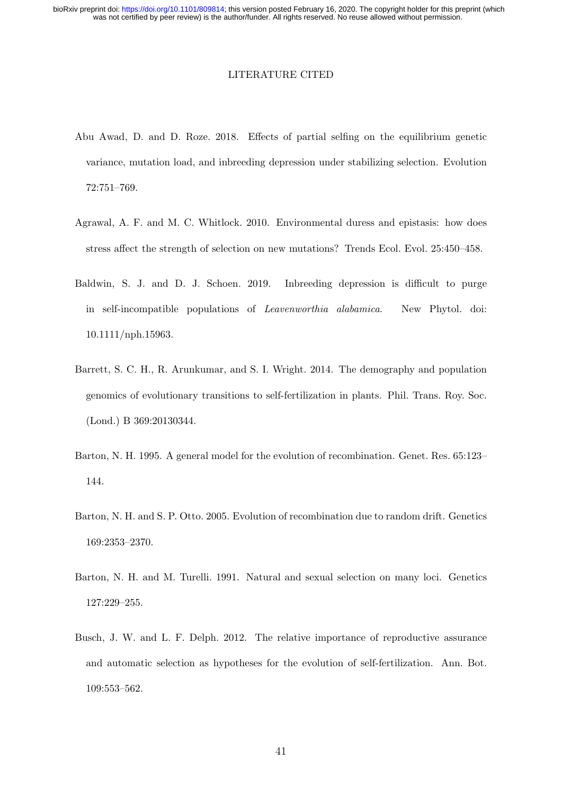#### LITERATURE CITED

- Abu Awad, D. and D. Roze. 2018. Effects of partial selfing on the equilibrium genetic variance, mutation load, and inbreeding depression under stabilizing selection. Evolution 72:751–769.
- Agrawal, A. F. and M. C. Whitlock. 2010. Environmental duress and epistasis: how does stress affect the strength of selection on new mutations? Trends Ecol. Evol. 25:450–458.
- Baldwin, S. J. and D. J. Schoen. 2019. Inbreeding depression is difficult to purge in self-incompatible populations of Leavenworthia alabamica. New Phytol. doi: 10.1111/nph.15963.
- Barrett, S. C. H., R. Arunkumar, and S. I. Wright. 2014. The demography and population genomics of evolutionary transitions to self-fertilization in plants. Phil. Trans. Roy. Soc. (Lond.) B 369:20130344.
- Barton, N. H. 1995. A general model for the evolution of recombination. Genet. Res. 65:123– 144.
- Barton, N. H. and S. P. Otto. 2005. Evolution of recombination due to random drift. Genetics 169:2353–2370.
- Barton, N. H. and M. Turelli. 1991. Natural and sexual selection on many loci. Genetics 127:229–255.
- Busch, J. W. and L. F. Delph. 2012. The relative importance of reproductive assurance and automatic selection as hypotheses for the evolution of self-fertilization. Ann. Bot. 109:553–562.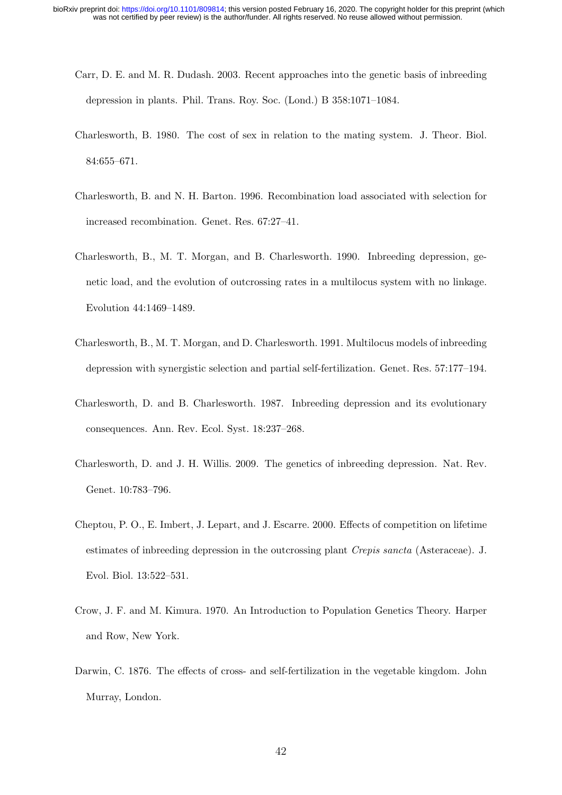- Carr, D. E. and M. R. Dudash. 2003. Recent approaches into the genetic basis of inbreeding depression in plants. Phil. Trans. Roy. Soc. (Lond.) B 358:1071–1084.
- Charlesworth, B. 1980. The cost of sex in relation to the mating system. J. Theor. Biol. 84:655–671.
- Charlesworth, B. and N. H. Barton. 1996. Recombination load associated with selection for increased recombination. Genet. Res. 67:27–41.
- Charlesworth, B., M. T. Morgan, and B. Charlesworth. 1990. Inbreeding depression, genetic load, and the evolution of outcrossing rates in a multilocus system with no linkage. Evolution 44:1469–1489.
- Charlesworth, B., M. T. Morgan, and D. Charlesworth. 1991. Multilocus models of inbreeding depression with synergistic selection and partial self-fertilization. Genet. Res. 57:177–194.
- Charlesworth, D. and B. Charlesworth. 1987. Inbreeding depression and its evolutionary consequences. Ann. Rev. Ecol. Syst. 18:237–268.
- Charlesworth, D. and J. H. Willis. 2009. The genetics of inbreeding depression. Nat. Rev. Genet. 10:783–796.
- Cheptou, P. O., E. Imbert, J. Lepart, and J. Escarre. 2000. Effects of competition on lifetime estimates of inbreeding depression in the outcrossing plant *Crepis sancta* (Asteraceae). J. Evol. Biol. 13:522–531.
- Crow, J. F. and M. Kimura. 1970. An Introduction to Population Genetics Theory. Harper and Row, New York.
- Darwin, C. 1876. The effects of cross- and self-fertilization in the vegetable kingdom. John Murray, London.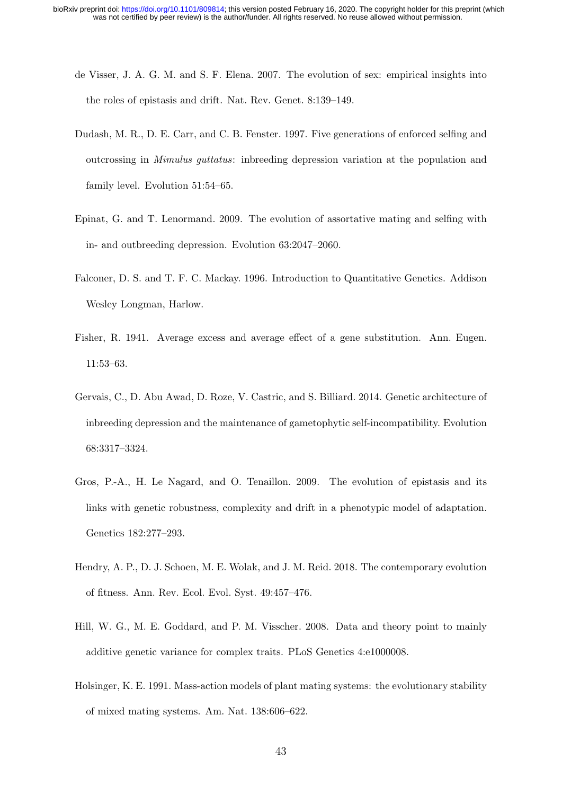- de Visser, J. A. G. M. and S. F. Elena. 2007. The evolution of sex: empirical insights into the roles of epistasis and drift. Nat. Rev. Genet. 8:139–149.
- Dudash, M. R., D. E. Carr, and C. B. Fenster. 1997. Five generations of enforced selfing and outcrossing in Mimulus guttatus: inbreeding depression variation at the population and family level. Evolution 51:54–65.
- Epinat, G. and T. Lenormand. 2009. The evolution of assortative mating and selfing with in- and outbreeding depression. Evolution 63:2047–2060.
- Falconer, D. S. and T. F. C. Mackay. 1996. Introduction to Quantitative Genetics. Addison Wesley Longman, Harlow.
- Fisher, R. 1941. Average excess and average effect of a gene substitution. Ann. Eugen. 11:53–63.
- Gervais, C., D. Abu Awad, D. Roze, V. Castric, and S. Billiard. 2014. Genetic architecture of inbreeding depression and the maintenance of gametophytic self-incompatibility. Evolution 68:3317–3324.
- Gros, P.-A., H. Le Nagard, and O. Tenaillon. 2009. The evolution of epistasis and its links with genetic robustness, complexity and drift in a phenotypic model of adaptation. Genetics 182:277–293.
- Hendry, A. P., D. J. Schoen, M. E. Wolak, and J. M. Reid. 2018. The contemporary evolution of fitness. Ann. Rev. Ecol. Evol. Syst. 49:457–476.
- Hill, W. G., M. E. Goddard, and P. M. Visscher. 2008. Data and theory point to mainly additive genetic variance for complex traits. PLoS Genetics 4:e1000008.
- Holsinger, K. E. 1991. Mass-action models of plant mating systems: the evolutionary stability of mixed mating systems. Am. Nat. 138:606–622.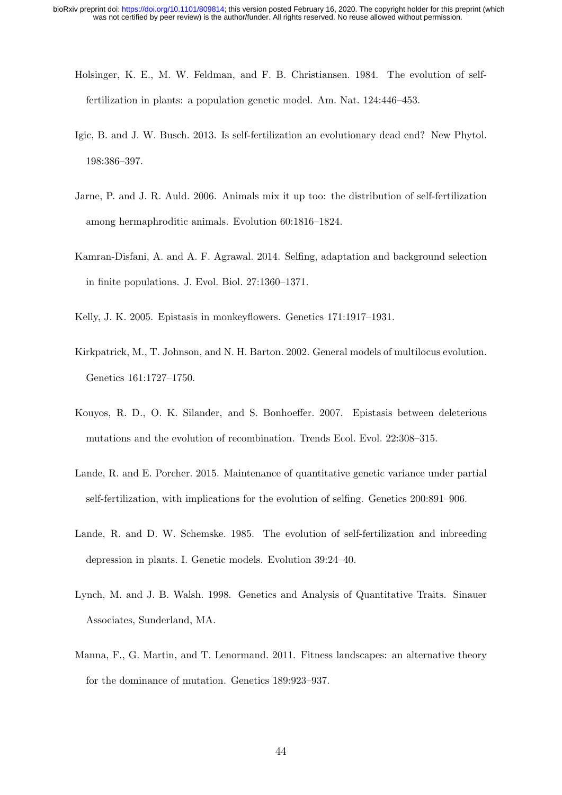- Holsinger, K. E., M. W. Feldman, and F. B. Christiansen. 1984. The evolution of selffertilization in plants: a population genetic model. Am. Nat. 124:446–453.
- Igic, B. and J. W. Busch. 2013. Is self-fertilization an evolutionary dead end? New Phytol. 198:386–397.
- Jarne, P. and J. R. Auld. 2006. Animals mix it up too: the distribution of self-fertilization among hermaphroditic animals. Evolution 60:1816–1824.
- Kamran-Disfani, A. and A. F. Agrawal. 2014. Selfing, adaptation and background selection in finite populations. J. Evol. Biol. 27:1360–1371.
- Kelly, J. K. 2005. Epistasis in monkeyflowers. Genetics 171:1917–1931.
- Kirkpatrick, M., T. Johnson, and N. H. Barton. 2002. General models of multilocus evolution. Genetics 161:1727–1750.
- Kouyos, R. D., O. K. Silander, and S. Bonhoeffer. 2007. Epistasis between deleterious mutations and the evolution of recombination. Trends Ecol. Evol. 22:308–315.
- Lande, R. and E. Porcher. 2015. Maintenance of quantitative genetic variance under partial self-fertilization, with implications for the evolution of selfing. Genetics 200:891–906.
- Lande, R. and D. W. Schemske. 1985. The evolution of self-fertilization and inbreeding depression in plants. I. Genetic models. Evolution 39:24–40.
- Lynch, M. and J. B. Walsh. 1998. Genetics and Analysis of Quantitative Traits. Sinauer Associates, Sunderland, MA.
- Manna, F., G. Martin, and T. Lenormand. 2011. Fitness landscapes: an alternative theory for the dominance of mutation. Genetics 189:923–937.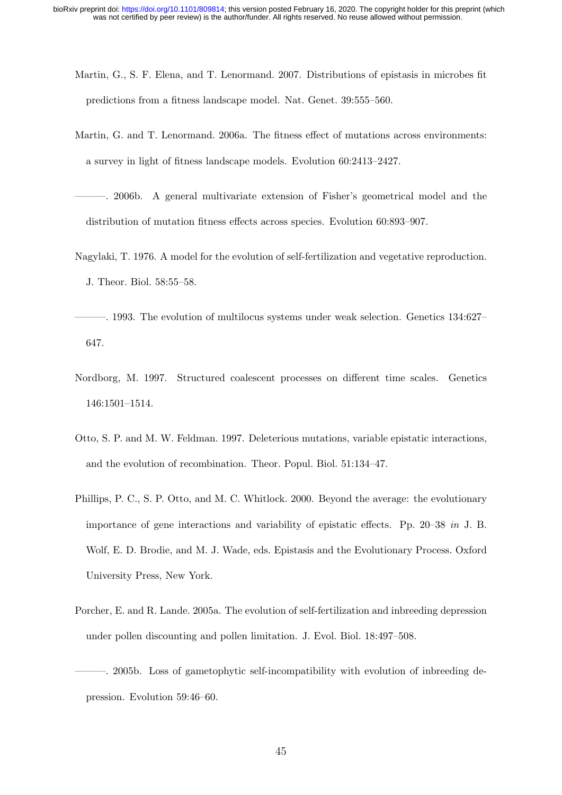- Martin, G., S. F. Elena, and T. Lenormand. 2007. Distributions of epistasis in microbes fit predictions from a fitness landscape model. Nat. Genet. 39:555–560.
- Martin, G. and T. Lenormand. 2006a. The fitness effect of mutations across environments: a survey in light of fitness landscape models. Evolution 60:2413–2427.
- ———. 2006b. A general multivariate extension of Fisher's geometrical model and the distribution of mutation fitness effects across species. Evolution 60:893–907.
- Nagylaki, T. 1976. A model for the evolution of self-fertilization and vegetative reproduction. J. Theor. Biol. 58:55–58.
- ———. 1993. The evolution of multilocus systems under weak selection. Genetics 134:627– 647.
- Nordborg, M. 1997. Structured coalescent processes on different time scales. Genetics 146:1501–1514.
- Otto, S. P. and M. W. Feldman. 1997. Deleterious mutations, variable epistatic interactions, and the evolution of recombination. Theor. Popul. Biol. 51:134–47.
- Phillips, P. C., S. P. Otto, and M. C. Whitlock. 2000. Beyond the average: the evolutionary importance of gene interactions and variability of epistatic effects. Pp. 20–38 in J. B. Wolf, E. D. Brodie, and M. J. Wade, eds. Epistasis and the Evolutionary Process. Oxford University Press, New York.
- Porcher, E. and R. Lande. 2005a. The evolution of self-fertilization and inbreeding depression under pollen discounting and pollen limitation. J. Evol. Biol. 18:497–508.
- ———. 2005b. Loss of gametophytic self-incompatibility with evolution of inbreeding depression. Evolution 59:46–60.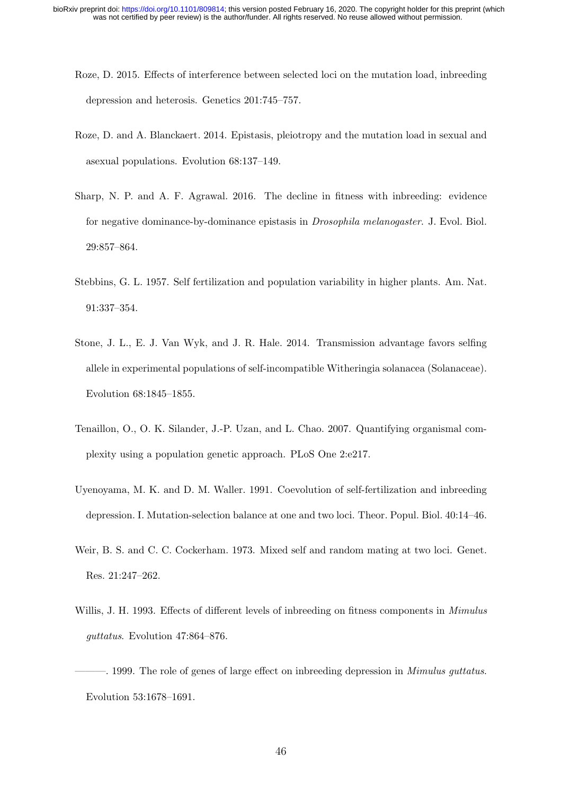- Roze, D. 2015. Effects of interference between selected loci on the mutation load, inbreeding depression and heterosis. Genetics 201:745–757.
- Roze, D. and A. Blanckaert. 2014. Epistasis, pleiotropy and the mutation load in sexual and asexual populations. Evolution 68:137–149.
- Sharp, N. P. and A. F. Agrawal. 2016. The decline in fitness with inbreeding: evidence for negative dominance-by-dominance epistasis in Drosophila melanogaster. J. Evol. Biol. 29:857–864.
- Stebbins, G. L. 1957. Self fertilization and population variability in higher plants. Am. Nat. 91:337–354.
- Stone, J. L., E. J. Van Wyk, and J. R. Hale. 2014. Transmission advantage favors selfing allele in experimental populations of self-incompatible Witheringia solanacea (Solanaceae). Evolution 68:1845–1855.
- Tenaillon, O., O. K. Silander, J.-P. Uzan, and L. Chao. 2007. Quantifying organismal complexity using a population genetic approach. PLoS One 2:e217.
- Uyenoyama, M. K. and D. M. Waller. 1991. Coevolution of self-fertilization and inbreeding depression. I. Mutation-selection balance at one and two loci. Theor. Popul. Biol. 40:14–46.
- Weir, B. S. and C. C. Cockerham. 1973. Mixed self and random mating at two loci. Genet. Res. 21:247–262.
- Willis, J. H. 1993. Effects of different levels of inbreeding on fitness components in *Mimulus* guttatus. Evolution 47:864–876.
- -. 1999. The role of genes of large effect on inbreeding depression in *Mimulus quitatus*. Evolution 53:1678–1691.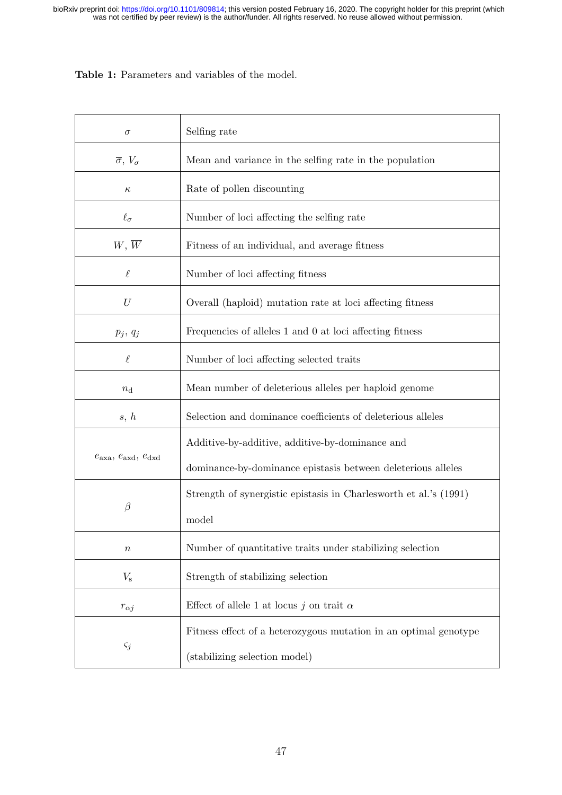Table 1: Parameters and variables of the model.

| $\sigma$                                | Selfing rate                                                      |
|-----------------------------------------|-------------------------------------------------------------------|
| $\overline{\sigma}$ , $V_{\sigma}$      | Mean and variance in the selfing rate in the population           |
| $\kappa$                                | Rate of pollen discounting                                        |
| $\ell_{\sigma}$                         | Number of loci affecting the selfing rate                         |
| $W, \overline{W}$                       | Fitness of an individual, and average fitness                     |
| $\ell$                                  | Number of loci affecting fitness                                  |
| $\mathcal{U}$                           | Overall (haploid) mutation rate at loci affecting fitness         |
| $p_j, q_j$                              | Frequencies of alleles 1 and 0 at loci affecting fitness          |
| $\ell$                                  | Number of loci affecting selected traits                          |
| $n_{\rm d}$                             | Mean number of deleterious alleles per haploid genome             |
| s, h                                    | Selection and dominance coefficients of deleterious alleles       |
| $e_{\rm axa}, e_{\rm axd}, e_{\rm dxd}$ | Additive-by-additive, additive-by-dominance and                   |
|                                         | dominance-by-dominance epistasis between deleterious alleles      |
| $\beta$                                 | Strength of synergistic epistasis in Charlesworth et al.'s (1991) |
|                                         | model                                                             |
| $\it{n}$                                | Number of quantitative traits under stabilizing selection         |
| $V_{\rm s}$                             | Strength of stabilizing selection                                 |
| $r_{\alpha j}$                          | Effect of allele 1 at locus j on trait $\alpha$                   |
| $\varsigma_j$                           | Fitness effect of a heterozygous mutation in an optimal genotype  |
|                                         | (stabilizing selection model)                                     |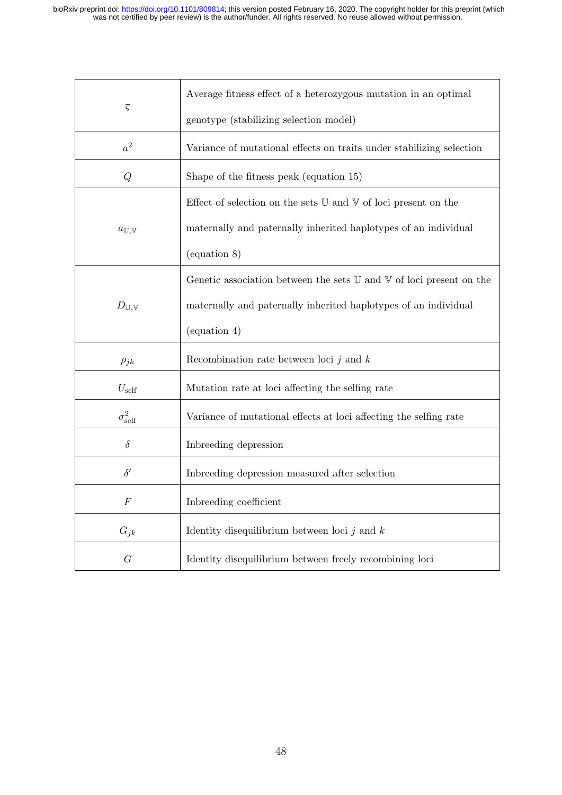| $\overline{\varsigma}$      | Average fitness effect of a heterozygous mutation in an optimal                         |
|-----------------------------|-----------------------------------------------------------------------------------------|
|                             | genotype (stabilizing selection model)                                                  |
| $a^2$                       | Variance of mutational effects on traits under stabilizing selection                    |
| Q                           | Shape of the fitness peak (equation 15)                                                 |
|                             | Effect of selection on the sets $\mathbb U$ and $\mathbb V$ of loci present on the      |
| $a_{\mathbb{U},\mathbb{V}}$ | maternally and paternally inherited haplotypes of an individual                         |
|                             | (equation 8)                                                                            |
| $D_{\mathbb{U},\mathbb{V}}$ | Genetic association between the sets $\mathbb U$ and $\mathbb V$ of loci present on the |
|                             | maternally and paternally inherited haplotypes of an individual                         |
|                             | $\left(\text{equation }4\right)$                                                        |
| $\rho_{jk}$                 | Recombination rate between loci $j$ and $k$                                             |
| $U_{\rm self}$              | Mutation rate at loci affecting the selfing rate                                        |
| $\sigma^2_{\text{self}}$    | Variance of mutational effects at loci affecting the selfing rate                       |
| $\delta$                    | Inbreeding depression                                                                   |
| $\delta'$                   | Inbreeding depression measured after selection                                          |
| $\boldsymbol{F}$            | Inbreeding coefficient                                                                  |
| $G_{jk}$                    | Identity disequilibrium between loci $j$ and $k$                                        |
| G                           | Identity disequilibrium between freely recombining loci                                 |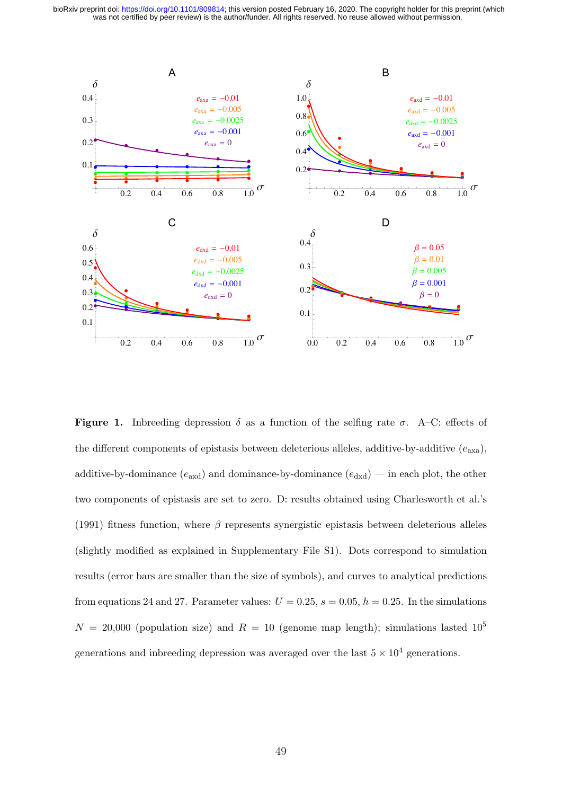

**Figure 1.** Introducing depression  $\delta$  as a function of the selfing rate  $\sigma$ . A-C: effects of the different components of epistasis between deleterious alleles, additive-by-additive  $(e_{axa})$ , additive-by-dominance  $(e_{\text{axd}})$  and dominance-by-dominance  $(e_{\text{dxd}})$  — in each plot, the other two components of epistasis are set to zero. D: results obtained using Charlesworth et al.'s (1991) fitness function, where  $\beta$  represents synergistic epistasis between deleterious alleles (slightly modified as explained in Supplementary File S1). Dots correspond to simulation results (error bars are smaller than the size of symbols), and curves to analytical predictions from equations 24 and 27. Parameter values:  $U = 0.25$ ,  $s = 0.05$ ,  $h = 0.25$ . In the simulations  $N = 20,000$  (population size) and  $R = 10$  (genome map length); simulations lasted  $10^5$ generations and introduced appression was averaged over the last  $5 \times 10^4$  generations.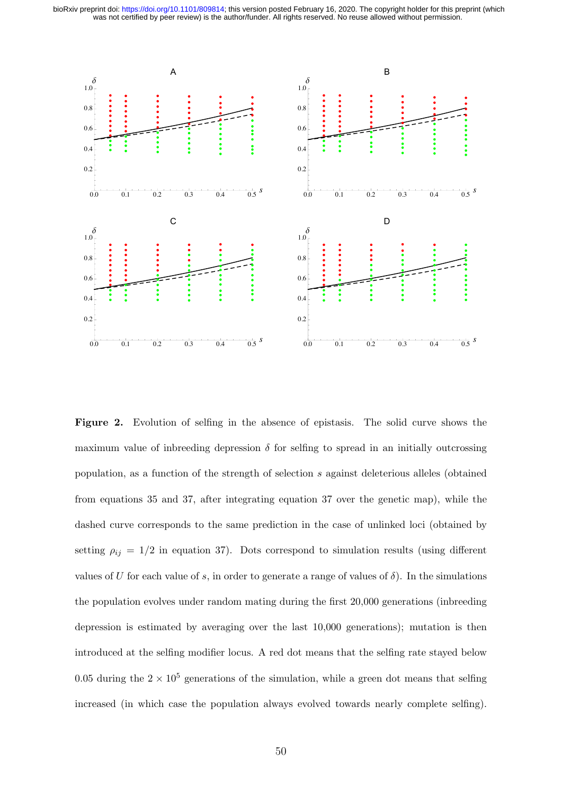

Figure 2. Evolution of selfing in the absence of epistasis. The solid curve shows the maximum value of intereding depression  $\delta$  for selfing to spread in an initially outcrossing population, as a function of the strength of selection s against deleterious alleles (obtained from equations 35 and 37, after integrating equation 37 over the genetic map), while the dashed curve corresponds to the same prediction in the case of unlinked loci (obtained by setting  $\rho_{ij} = 1/2$  in equation 37). Dots correspond to simulation results (using different values of U for each value of s, in order to generate a range of values of  $\delta$ ). In the simulations the population evolves under random mating during the first 20,000 generations (intereding depression is estimated by averaging over the last  $10,000$  generations); mutation is then introduced at the selfing modifier locus. A red dot means that the selfing rate stayed below 0.05 during the  $2 \times 10^5$  generations of the simulation, while a green dot means that selfing increased (in which case the population always evolved towards nearly complete selfing).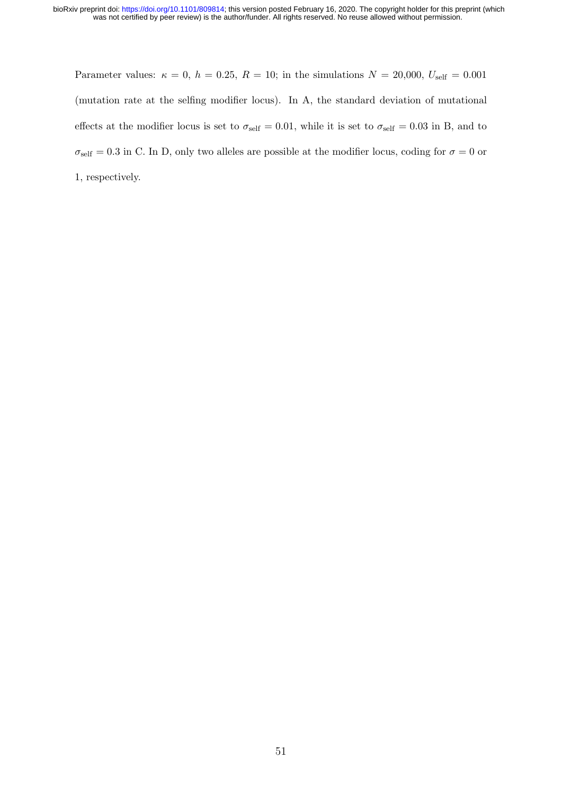Parameter values:  $\kappa = 0$ ,  $h = 0.25$ ,  $R = 10$ ; in the simulations  $N = 20,000$ ,  $U_{\text{self}} = 0.001$ (mutation rate at the selfing modifier locus). In A, the standard deviation of mutational effects at the modifier locus is set to  $\sigma_{\text{self}} = 0.01$ , while it is set to  $\sigma_{\text{self}} = 0.03$  in B, and to  $\sigma_{\text{self}} = 0.3$  in C. In D, only two alleles are possible at the modifier locus, coding for  $\sigma = 0$  or 1, respectively.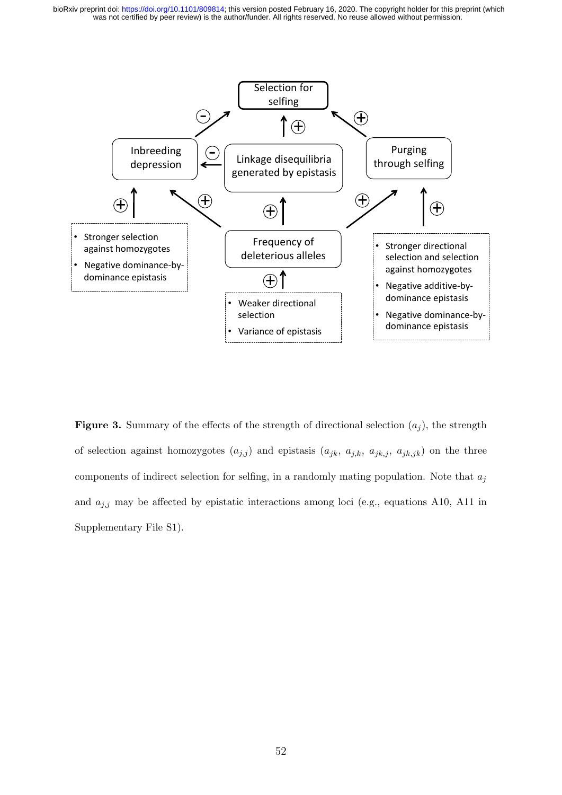

Figure 3. Summary of the effects of the strength of directional selection  $(a_i)$ , the strength of selection against homozygotes  $(a_{j,j})$  and epistasis  $(a_{jk}, a_{j,k}, a_{jk,j}, a_{jk,jk})$  on the three components of indirect selection for selfing, in a randomly mating population. Note that  $a_j$ and  $a_{j,j}$  may be affected by epistatic interactions among loci (e.g., equations A10, A11 in Supplementary File S1).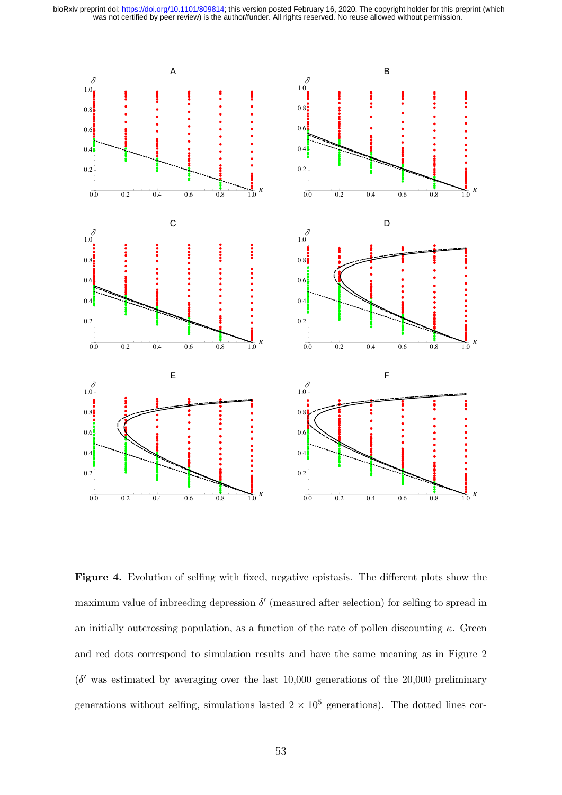

Figure 4. Evolution of selfing with fixed, negative epistasis. The different plots show the maximum value of introduced appression  $\delta'$  (measured after selection) for selfing to spread in an initially outcrossing population, as a function of the rate of pollen discounting  $\kappa$ . Green and red dots correspond to simulation results and have the same meaning as in Figure 2  $(\delta'$  was estimated by averaging over the last 10,000 generations of the 20,000 preliminary generations without selfing, simulations lasted  $2 \times 10^5$  generations). The dotted lines cor-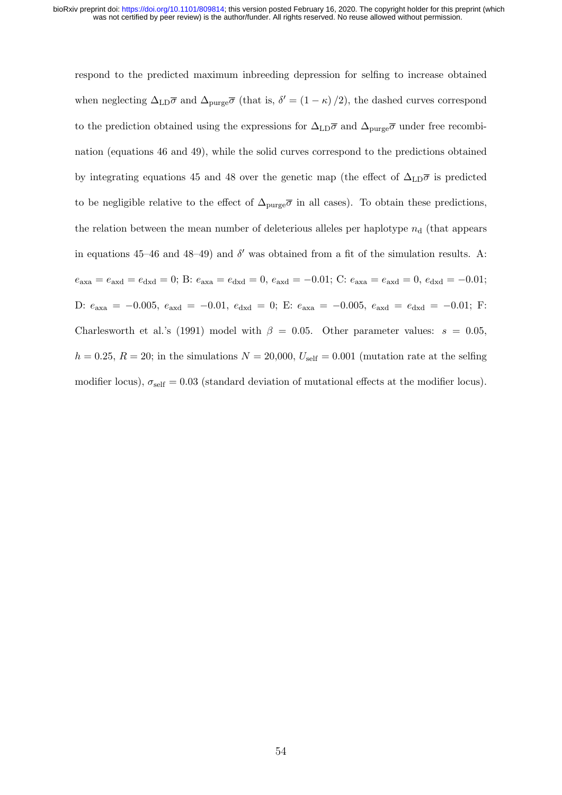respond to the predicted maximum inbreeding depression for selfing to increase obtained when neglecting  $\Delta_{\text{LD}}\overline{\sigma}$  and  $\Delta_{\text{pure}}\overline{\sigma}$  (that is,  $\delta' = (1 - \kappa)/2$ ), the dashed curves correspond to the prediction obtained using the expressions for  $\Delta_{LD}\overline{\sigma}$  and  $\Delta_{pure}\overline{\sigma}$  under free recombination (equations 46 and 49), while the solid curves correspond to the predictions obtained by integrating equations 45 and 48 over the genetic map (the effect of  $\Delta_{\text{LD}}\overline{\sigma}$  is predicted to be negligible relative to the effect of  $\Delta_{\text{pure}}\overline{\sigma}$  in all cases). To obtain these predictions, the relation between the mean number of deleterious alleles per haplotype  $n_d$  (that appears in equations 45–46 and 48–49) and  $\delta'$  was obtained from a fit of the simulation results. A:  $e_{\text{axa}} = e_{\text{axd}} = e_{\text{dxd}} = 0$ ; B:  $e_{\text{axa}} = e_{\text{dxd}} = 0$ ,  $e_{\text{axd}} = -0.01$ ; C:  $e_{\text{axa}} = e_{\text{axd}} = 0$ ,  $e_{\text{dxd}} = -0.01$ ; D:  $e_{\text{axa}} = -0.005$ ,  $e_{\text{axd}} = -0.01$ ,  $e_{\text{dxd}} = 0$ ; E:  $e_{\text{axa}} = -0.005$ ,  $e_{\text{axd}} = e_{\text{dxd}} = -0.01$ ; F: Charlesworth et al.'s (1991) model with  $\beta = 0.05$ . Other parameter values:  $s = 0.05$ ,  $h = 0.25, R = 20$ ; in the simulations  $N = 20,000, U_{\text{self}} = 0.001$  (mutation rate at the selfing modifier locus),  $\sigma_{\text{self}} = 0.03$  (standard deviation of mutational effects at the modifier locus).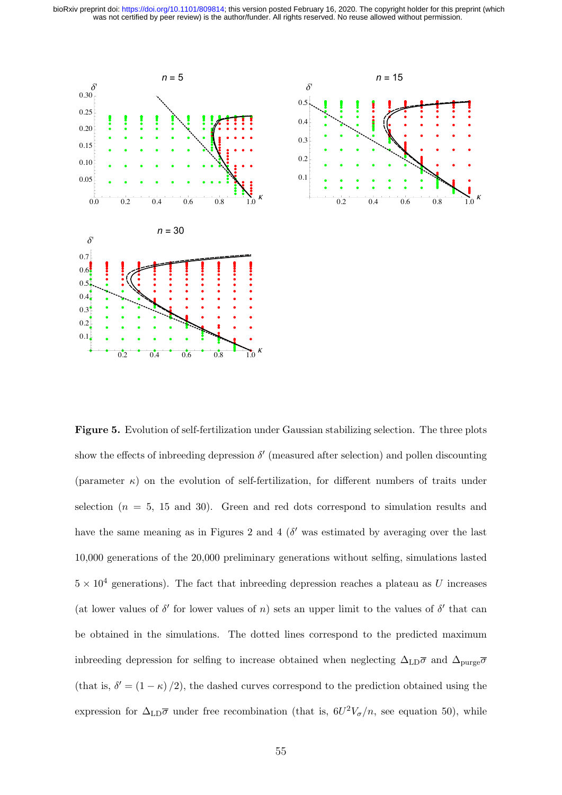bioRxiv preprint doi: https://doi.org/10.1101/809814; this version posted February 16, 2020. The copyright holder for this preprint (which was not certified by peer review) is the author/funder. All rights reserved. No reu



**Figure 5.** Evolution of self-fertilization under Gaussian stabilizing selection. The three plots show the effects of intereding depression  $\delta'$  (measured after selection) and pollen discounting (parameter  $\kappa$ ) on the evolution of self-fertilization, for different numbers of traits under selection ( $n = 5$ , 15 and 30). Green and red dots correspond to simulation results and have the same meaning as in Figures 2 and 4 ( $\delta'$  was estimated by averaging over the last 10,000 generations of the 20,000 preliminary generations without selfing, simulations lasted  $5 \times 10^4$  generations). The fact that indirecting depression reaches a plateau as U increases (at lower values of  $\delta'$  for lower values of n) sets an upper limit to the values of  $\delta'$  that can be obtained in the simulations. The dotted lines correspond to the predicted maximum in<br>breeding depression for selfing to increase obtained when neglecting<br>  $\Delta_{\rm LD}\overline{\sigma}$  and  $\Delta_{\rm pure}\overline{\sigma}$ (that is,  $\delta' = (1 - \kappa)/2$ ), the dashed curves correspond to the prediction obtained using the expression for  $\Delta_{LD}\overline{\sigma}$  under free recombination (that is,  $6U^2V_{\sigma}/n$ , see equation 50), while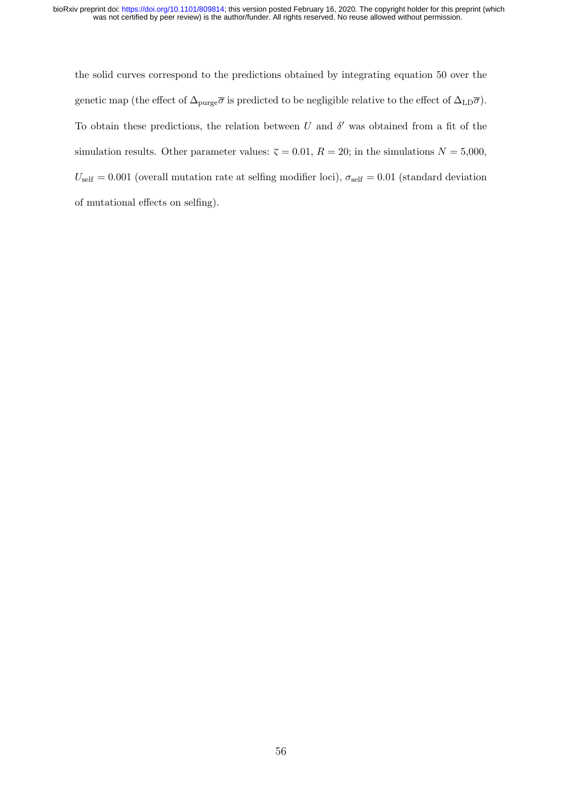the solid curves correspond to the predictions obtained by integrating equation 50 over the genetic map (the effect of  $\Delta_{\text{pure}}\overline{\sigma}$  is predicted to be negligible relative to the effect of  $\Delta_{\text{LD}}\overline{\sigma}$ ). To obtain these predictions, the relation between U and  $\delta'$  was obtained from a fit of the simulation results. Other parameter values:  $\overline{\varsigma} = 0.01, R = 20$ ; in the simulations  $N = 5,000$ ,  $U_{\text{self}} = 0.001$  (overall mutation rate at selfing modifier loci),  $\sigma_{\text{self}} = 0.01$  (standard deviation of mutational effects on selfing).